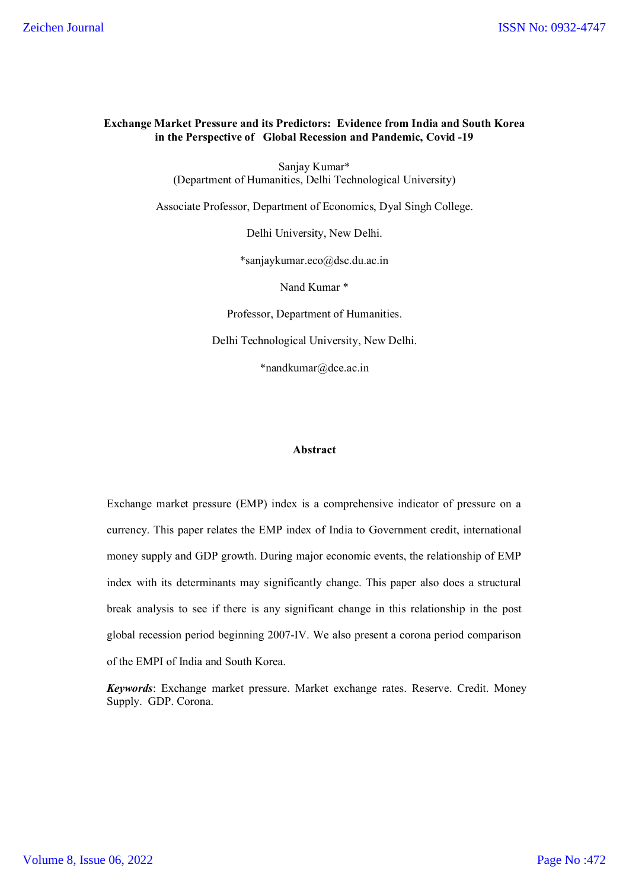### Exchange Market Pressure and its Predictors: Evidence from India and South Korea in the Perspective of Global Recession and Pandemic, Covid -19

Sanjay Kumar\* (Department of Humanities, Delhi Technological University)

Associate Professor, Department of Economics, Dyal Singh College.

Delhi University, New Delhi.

\*sanjaykumar.eco@dsc.du.ac.in

Nand Kumar \*

Professor, Department of Humanities.

Delhi Technological University, New Delhi.

\*nandkumar@dce.ac.in

## Abstract

Exchange market pressure (EMP) index is a comprehensive indicator of pressure on a currency. This paper relates the EMP index of India to Government credit, international money supply and GDP growth. During major economic events, the relationship of EMP index with its determinants may significantly change. This paper also does a structural break analysis to see if there is any significant change in this relationship in the post global recession period beginning 2007-IV. We also present a corona period comparison of the EMPI of India and South Korea.

Keywords: Exchange market pressure. Market exchange rates. Reserve. Credit. Money Supply. GDP. Corona.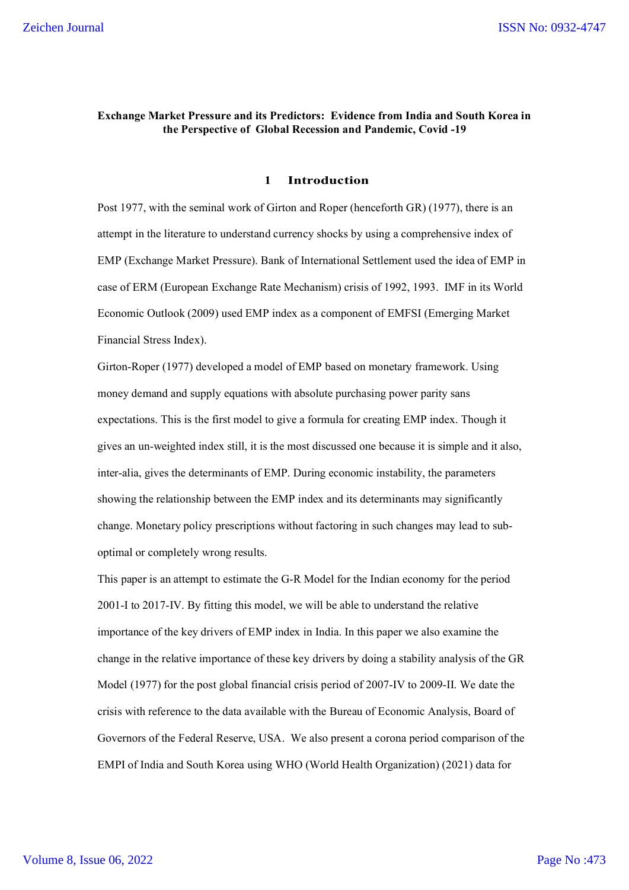## Exchange Market Pressure and its Predictors: Evidence from India and South Korea in the Perspective of Global Recession and Pandemic, Covid -19

### 1 Introduction

Post 1977, with the seminal work of Girton and Roper (henceforth GR) (1977), there is an attempt in the literature to understand currency shocks by using a comprehensive index of EMP (Exchange Market Pressure). Bank of International Settlement used the idea of EMP in case of ERM (European Exchange Rate Mechanism) crisis of 1992, 1993. IMF in its World Economic Outlook (2009) used EMP index as a component of EMFSI (Emerging Market Financial Stress Index).

Girton-Roper (1977) developed a model of EMP based on monetary framework. Using money demand and supply equations with absolute purchasing power parity sans expectations. This is the first model to give a formula for creating EMP index. Though it gives an un-weighted index still, it is the most discussed one because it is simple and it also, inter-alia, gives the determinants of EMP. During economic instability, the parameters showing the relationship between the EMP index and its determinants may significantly change. Monetary policy prescriptions without factoring in such changes may lead to suboptimal or completely wrong results.

This paper is an attempt to estimate the G-R Model for the Indian economy for the period 2001-I to 2017-IV. By fitting this model, we will be able to understand the relative importance of the key drivers of EMP index in India. In this paper we also examine the change in the relative importance of these key drivers by doing a stability analysis of the GR Model (1977) for the post global financial crisis period of 2007-IV to 2009-II. We date the crisis with reference to the data available with the Bureau of Economic Analysis, Board of Governors of the Federal Reserve, USA. We also present a corona period comparison of the EMPI of India and South Korea using WHO (World Health Organization) (2021) data for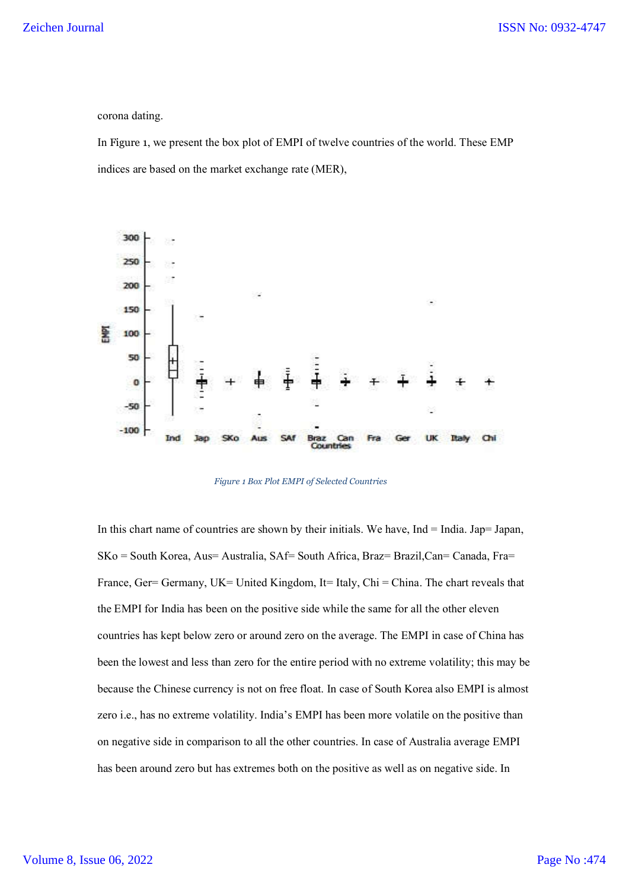corona dating.

In Figure 1, we present the box plot of EMPI of twelve countries of the world. These EMP indices are based on the market exchange rate (MER),



Figure 1 Box Plot EMPI of Selected Countries

In this chart name of countries are shown by their initials. We have, Ind = India. Jap= Japan, SKo = South Korea, Aus= Australia, SAf= South Africa, Braz= Brazil,Can= Canada, Fra= France, Ger= Germany, UK= United Kingdom, It= Italy, Chi = China. The chart reveals that the EMPI for India has been on the positive side while the same for all the other eleven countries has kept below zero or around zero on the average. The EMPI in case of China has been the lowest and less than zero for the entire period with no extreme volatility; this may be because the Chinese currency is not on free float. In case of South Korea also EMPI is almost zero i.e., has no extreme volatility. India's EMPI has been more volatile on the positive than on negative side in comparison to all the other countries. In case of Australia average EMPI has been around zero but has extremes both on the positive as well as on negative side. In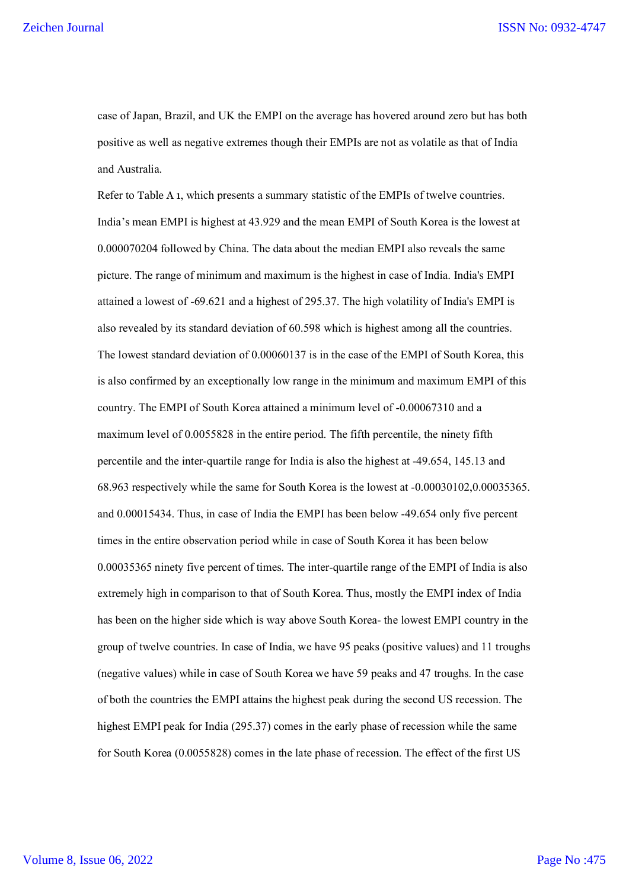case of Japan, Brazil, and UK the EMPI on the average has hovered around zero but has both positive as well as negative extremes though their EMPIs are not as volatile as that of India and Australia.

Refer to Table A 1, which presents a summary statistic of the EMPIs of twelve countries. India's mean EMPI is highest at 43.929 and the mean EMPI of South Korea is the lowest at 0.000070204 followed by China. The data about the median EMPI also reveals the same picture. The range of minimum and maximum is the highest in case of India. India's EMPI attained a lowest of -69.621 and a highest of 295.37. The high volatility of India's EMPI is also revealed by its standard deviation of 60.598 which is highest among all the countries. The lowest standard deviation of 0.00060137 is in the case of the EMPI of South Korea, this is also confirmed by an exceptionally low range in the minimum and maximum EMPI of this country. The EMPI of South Korea attained a minimum level of -0.00067310 and a maximum level of 0.0055828 in the entire period. The fifth percentile, the ninety fifth percentile and the inter-quartile range for India is also the highest at -49.654, 145.13 and 68.963 respectively while the same for South Korea is the lowest at -0.00030102,0.00035365. and 0.00015434. Thus, in case of India the EMPI has been below -49.654 only five percent times in the entire observation period while in case of South Korea it has been below 0.00035365 ninety five percent of times. The inter-quartile range of the EMPI of India is also extremely high in comparison to that of South Korea. Thus, mostly the EMPI index of India has been on the higher side which is way above South Korea- the lowest EMPI country in the group of twelve countries. In case of India, we have 95 peaks (positive values) and 11 troughs (negative values) while in case of South Korea we have 59 peaks and 47 troughs. In the case of both the countries the EMPI attains the highest peak during the second US recession. The highest EMPI peak for India (295.37) comes in the early phase of recession while the same for South Korea (0.0055828) comes in the late phase of recession. The effect of the first US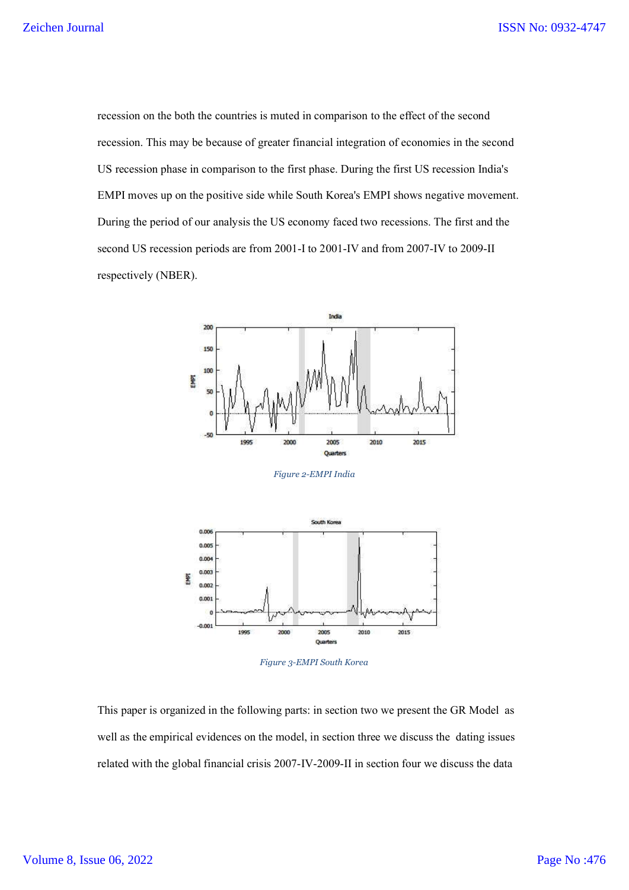recession on the both the countries is muted in comparison to the effect of the second recession. This may be because of greater financial integration of economies in the second US recession phase in comparison to the first phase. During the first US recession India's EMPI moves up on the positive side while South Korea's EMPI shows negative movement. During the period of our analysis the US economy faced two recessions. The first and the second US recession periods are from 2001-I to 2001-IV and from 2007-IV to 2009-II respectively (NBER).



Figure 2-EMPI India



Figure 3-EMPI South Korea

This paper is organized in the following parts: in section two we present the GR Model as well as the empirical evidences on the model, in section three we discuss the dating issues related with the global financial crisis 2007-IV-2009-II in section four we discuss the data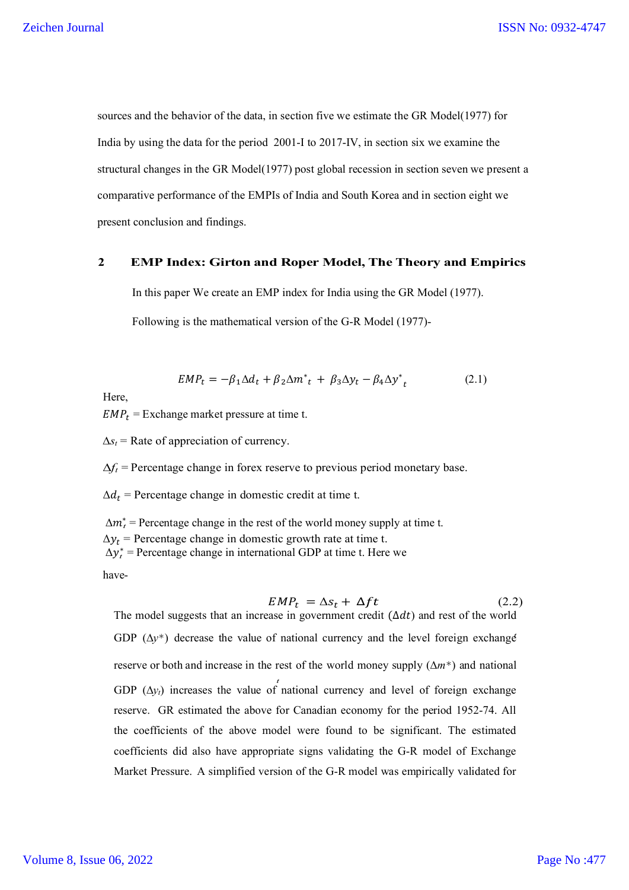sources and the behavior of the data, in section five we estimate the GR Model(1977) for India by using the data for the period 2001-I to 2017-IV, in section six we examine the structural changes in the GR Model(1977) post global recession in section seven we present a comparative performance of the EMPIs of India and South Korea and in section eight we present conclusion and findings.

## 2 EMP Index: Girton and Roper Model, The Theory and Empirics

In this paper We create an EMP index for India using the GR Model (1977).

Following is the mathematical version of the G-R Model (1977)-

$$
EMP_t = -\beta_1 \Delta d_t + \beta_2 \Delta m^*_{t} + \beta_3 \Delta y_t - \beta_4 \Delta y^*_{t}
$$
 (2.1)

Here,

 $EMP_t$  = Exchange market pressure at time t.

 $\Delta s_t$  = Rate of appreciation of currency.

 $\Delta f_t$  = Percentage change in forex reserve to previous period monetary base.

 $\Delta d_t$  = Percentage change in domestic credit at time t.

 $\Delta m_t^*$  = Percentage change in the rest of the world money supply at time t.  $\Delta y_t^*$  = Percentage change in international GDP at time t. Here we  $\Delta y_t$  = Percentage change in domestic growth rate at time t. have-

$$
EMP_t = \Delta s_t + \Delta ft \tag{2.2}
$$

GDP ( $\Delta y^*$ ) decrease the value of national currency and the level foreign exchange t The model suggests that an increase in government credit  $(\Delta dt)$  and rest of the world reserve or both and increase in the rest of the world money supply  $(\Delta m^*)$  and national GDP  $(\Delta y_t)$  increases the value of national currency and level of foreign exchange reserve. GR estimated the above for Canadian economy for the period 1952-74. All the coefficients of the above model were found to be significant. The estimated coefficients did also have appropriate signs validating the G-R model of Exchange Market Pressure. A simplified version of the G-R model was empirically validated for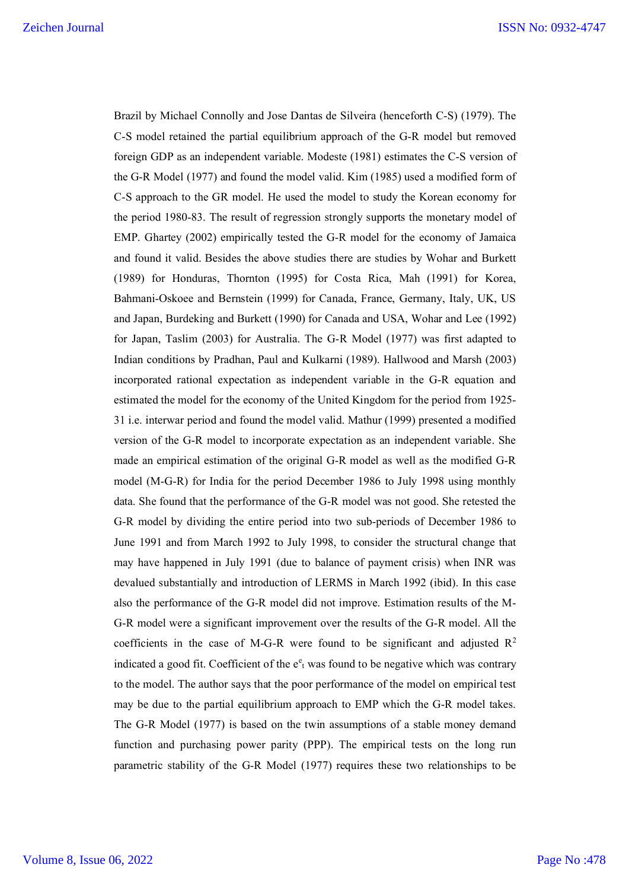Brazil by Michael Connolly and Jose Dantas de Silveira (henceforth C-S) (1979). The C-S model retained the partial equilibrium approach of the G-R model but removed foreign GDP as an independent variable. Modeste (1981) estimates the C-S version of the G-R Model (1977) and found the model valid. Kim (1985) used a modified form of C-S approach to the GR model. He used the model to study the Korean economy for the period 1980-83. The result of regression strongly supports the monetary model of EMP. Ghartey (2002) empirically tested the G-R model for the economy of Jamaica and found it valid. Besides the above studies there are studies by Wohar and Burkett (1989) for Honduras, Thornton (1995) for Costa Rica, Mah (1991) for Korea, Bahmani-Oskoee and Bernstein (1999) for Canada, France, Germany, Italy, UK, US and Japan, Burdeking and Burkett (1990) for Canada and USA, Wohar and Lee (1992) for Japan, Taslim (2003) for Australia. The G-R Model (1977) was first adapted to Indian conditions by Pradhan, Paul and Kulkarni (1989). Hallwood and Marsh (2003) incorporated rational expectation as independent variable in the G-R equation and estimated the model for the economy of the United Kingdom for the period from 1925- 31 i.e. interwar period and found the model valid. Mathur (1999) presented a modified version of the G-R model to incorporate expectation as an independent variable. She made an empirical estimation of the original G-R model as well as the modified G-R model (M-G-R) for India for the period December 1986 to July 1998 using monthly data. She found that the performance of the G-R model was not good. She retested the G-R model by dividing the entire period into two sub-periods of December 1986 to June 1991 and from March 1992 to July 1998, to consider the structural change that may have happened in July 1991 (due to balance of payment crisis) when INR was devalued substantially and introduction of LERMS in March 1992 (ibid). In this case also the performance of the G-R model did not improve. Estimation results of the M-G-R model were a significant improvement over the results of the G-R model. All the coefficients in the case of M-G-R were found to be significant and adjusted  $\mathbb{R}^2$ indicated a good fit. Coefficient of the  $e^e$ <sub>t</sub> was found to be negative which was contrary to the model. The author says that the poor performance of the model on empirical test may be due to the partial equilibrium approach to EMP which the G-R model takes. The G-R Model (1977) is based on the twin assumptions of a stable money demand function and purchasing power parity (PPP). The empirical tests on the long run parametric stability of the G-R Model (1977) requires these two relationships to be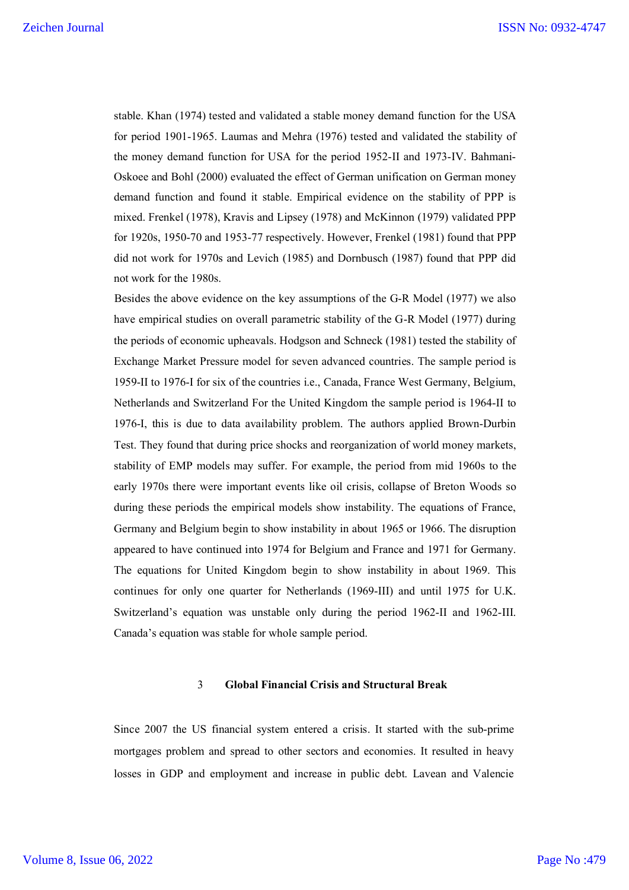stable. Khan (1974) tested and validated a stable money demand function for the USA for period 1901-1965. Laumas and Mehra (1976) tested and validated the stability of the money demand function for USA for the period 1952-II and 1973-IV. Bahmani-Oskoee and Bohl (2000) evaluated the effect of German unification on German money demand function and found it stable. Empirical evidence on the stability of PPP is mixed. Frenkel (1978), Kravis and Lipsey (1978) and McKinnon (1979) validated PPP for 1920s, 1950-70 and 1953-77 respectively. However, Frenkel (1981) found that PPP did not work for 1970s and Levich (1985) and Dornbusch (1987) found that PPP did not work for the 1980s.

Besides the above evidence on the key assumptions of the G-R Model (1977) we also have empirical studies on overall parametric stability of the G-R Model (1977) during the periods of economic upheavals. Hodgson and Schneck (1981) tested the stability of Exchange Market Pressure model for seven advanced countries. The sample period is 1959-II to 1976-I for six of the countries i.e., Canada, France West Germany, Belgium, Netherlands and Switzerland For the United Kingdom the sample period is 1964-II to 1976-I, this is due to data availability problem. The authors applied Brown-Durbin Test. They found that during price shocks and reorganization of world money markets, stability of EMP models may suffer. For example, the period from mid 1960s to the early 1970s there were important events like oil crisis, collapse of Breton Woods so during these periods the empirical models show instability. The equations of France, Germany and Belgium begin to show instability in about 1965 or 1966. The disruption appeared to have continued into 1974 for Belgium and France and 1971 for Germany. The equations for United Kingdom begin to show instability in about 1969. This continues for only one quarter for Netherlands (1969-III) and until 1975 for U.K. Switzerland's equation was unstable only during the period 1962-II and 1962-III. Canada's equation was stable for whole sample period.

#### 3 Global Financial Crisis and Structural Break

Since 2007 the US financial system entered a crisis. It started with the sub-prime mortgages problem and spread to other sectors and economies. It resulted in heavy losses in GDP and employment and increase in public debt. Lavean and Valencie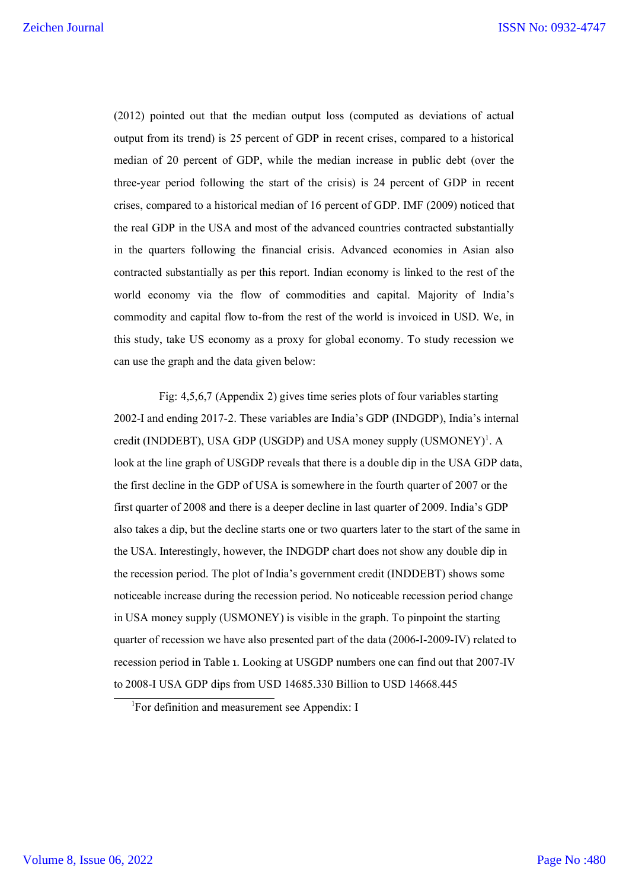(2012) pointed out that the median output loss (computed as deviations of actual output from its trend) is 25 percent of GDP in recent crises, compared to a historical median of 20 percent of GDP, while the median increase in public debt (over the three-year period following the start of the crisis) is 24 percent of GDP in recent crises, compared to a historical median of 16 percent of GDP. IMF (2009) noticed that the real GDP in the USA and most of the advanced countries contracted substantially in the quarters following the financial crisis. Advanced economies in Asian also contracted substantially as per this report. Indian economy is linked to the rest of the world economy via the flow of commodities and capital. Majority of India's commodity and capital flow to-from the rest of the world is invoiced in USD. We, in this study, take US economy as a proxy for global economy. To study recession we can use the graph and the data given below:

Fig: 4,5,6,7 (Appendix 2) gives time series plots of four variables starting 2002-I and ending 2017-2. These variables are India's GDP (INDGDP), India's internal credit (INDDEBT), USA GDP (USGDP) and USA money supply (USMONEY)<sup>1</sup>. A look at the line graph of USGDP reveals that there is a double dip in the USA GDP data, the first decline in the GDP of USA is somewhere in the fourth quarter of 2007 or the first quarter of 2008 and there is a deeper decline in last quarter of 2009. India's GDP also takes a dip, but the decline starts one or two quarters later to the start of the same in the USA. Interestingly, however, the INDGDP chart does not show any double dip in the recession period. The plot of India's government credit (INDDEBT) shows some noticeable increase during the recession period. No noticeable recession period change in USA money supply (USMONEY) is visible in the graph. To pinpoint the starting quarter of recession we have also presented part of the data (2006-I-2009-IV) related to recession period in Table 1. Looking at USGDP numbers one can find out that 2007-IV to 2008-I USA GDP dips from USD 14685.330 Billion to USD 14668.445

<sup>&</sup>lt;sup>1</sup>For definition and measurement see Appendix: I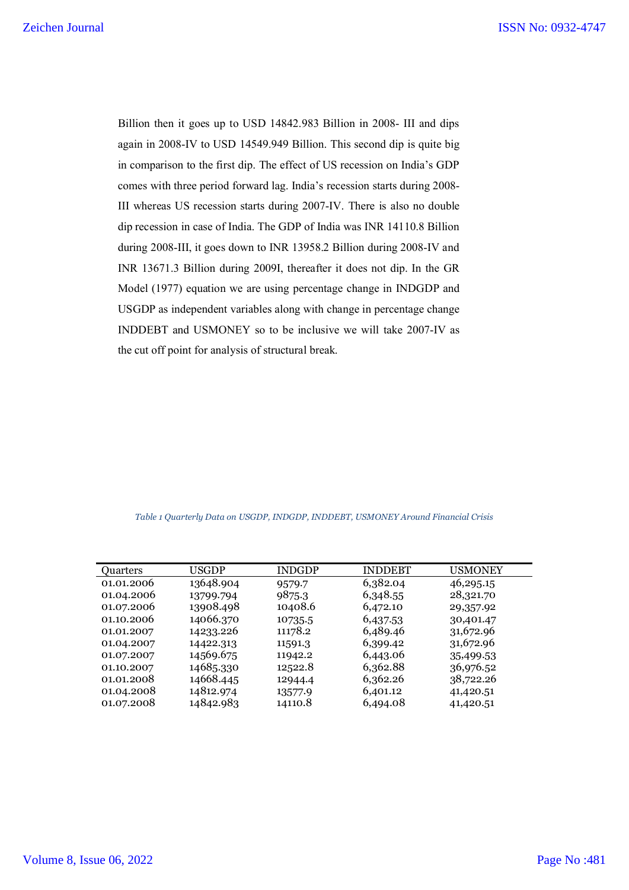Billion then it goes up to USD 14842.983 Billion in 2008- III and dips again in 2008-IV to USD 14549.949 Billion. This second dip is quite big in comparison to the first dip. The effect of US recession on India's GDP comes with three period forward lag. India's recession starts during 2008- III whereas US recession starts during 2007-IV. There is also no double dip recession in case of India. The GDP of India was INR 14110.8 Billion during 2008-III, it goes down to INR 13958.2 Billion during 2008-IV and INR 13671.3 Billion during 2009I, thereafter it does not dip. In the GR Model (1977) equation we are using percentage change in INDGDP and USGDP as independent variables along with change in percentage change INDDEBT and USMONEY so to be inclusive we will take 2007-IV as the cut off point for analysis of structural break.

#### Table 1 Quarterly Data on USGDP, INDGDP, INDDEBT, USMONEY Around Financial Crisis

| <b>Ouarters</b> | USGDP     | <b>INDGDP</b> | <b>INDDEBT</b> | <b>USMONEY</b> |
|-----------------|-----------|---------------|----------------|----------------|
| 01.01.2006      | 13648.904 | 9579.7        | 6,382.04       | 46,295.15      |
| 01.04.2006      | 13799.794 | 9875.3        | 6,348.55       | 28,321.70      |
| 01.07.2006      | 13908.498 | 10408.6       | 6,472.10       | 29,357.92      |
| 01.10.2006      | 14066.370 | 10735.5       | 6,437.53       | 30,401.47      |
| 01.01.2007      | 14233.226 | 11178.2       | 6,489.46       | 31,672.96      |
| 01.04.2007      | 14422.313 | 11591.3       | 6,399.42       | 31,672.96      |
| 01.07.2007      | 14569.675 | 11942.2       | 6,443.06       | 35,499.53      |
| 01.10.2007      | 14685.330 | 12522.8       | 6,362.88       | 36,976.52      |
| 01.01.2008      | 14668.445 | 12944.4       | 6,362.26       | 38,722.26      |
| 01.04.2008      | 14812.974 | 13577.9       | 6,401.12       | 41,420.51      |
| 01.07.2008      | 14842.983 | 14110.8       | 6,494.08       | 41,420.51      |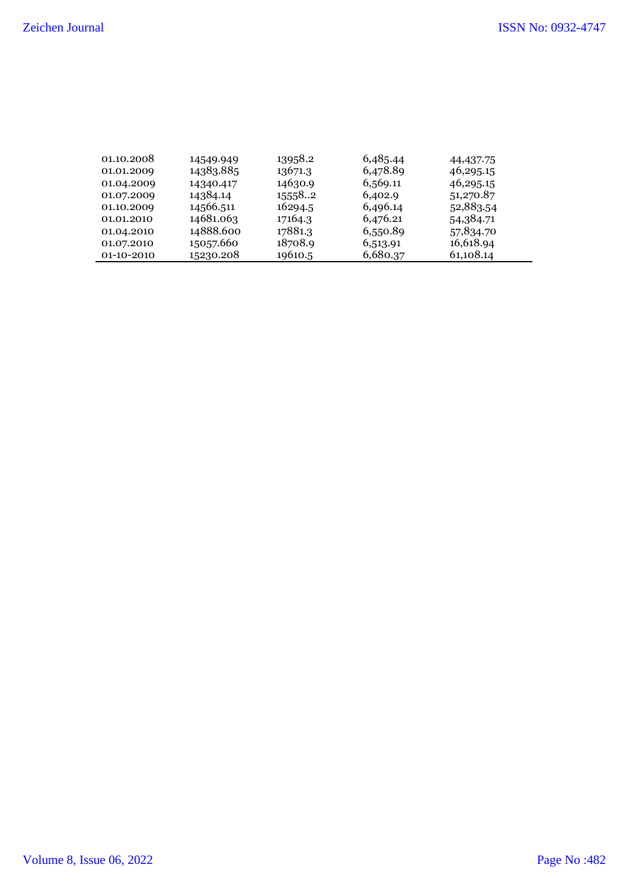| 14383.885<br>6,478.89<br>13671.3<br>46,295.15<br>01.01.2009<br>14630.9<br>6,569.11<br>46,295.15<br>14340.417<br>01.04.2009<br>155582<br>51,270.87<br>14384.14<br>6,402.9<br>01.07.2009<br>14566.511<br>16294.5<br>6,496.14<br>52,883.54<br>01.10.2009<br>14681.063<br>17164.3<br>6,476.21<br>54,384.71<br>01.01.2010<br>14888.600<br>17881.3<br>6,550.89<br>57,834.70<br>01.04.2010 | 01.10.2008 | 14549.949 | 13958.2 | 6,485.44 | 44, 437. 75 |
|-------------------------------------------------------------------------------------------------------------------------------------------------------------------------------------------------------------------------------------------------------------------------------------------------------------------------------------------------------------------------------------|------------|-----------|---------|----------|-------------|
|                                                                                                                                                                                                                                                                                                                                                                                     |            |           |         |          |             |
|                                                                                                                                                                                                                                                                                                                                                                                     |            |           |         |          |             |
|                                                                                                                                                                                                                                                                                                                                                                                     |            |           |         |          |             |
|                                                                                                                                                                                                                                                                                                                                                                                     |            |           |         |          |             |
|                                                                                                                                                                                                                                                                                                                                                                                     |            |           |         |          |             |
|                                                                                                                                                                                                                                                                                                                                                                                     |            |           |         |          |             |
|                                                                                                                                                                                                                                                                                                                                                                                     | 01.07.2010 | 15057.660 | 18708.9 | 6,513.91 | 16,618.94   |
| 6,680.37<br>19610.5<br>61,108.14<br>15230.208<br>01-10-2010                                                                                                                                                                                                                                                                                                                         |            |           |         |          |             |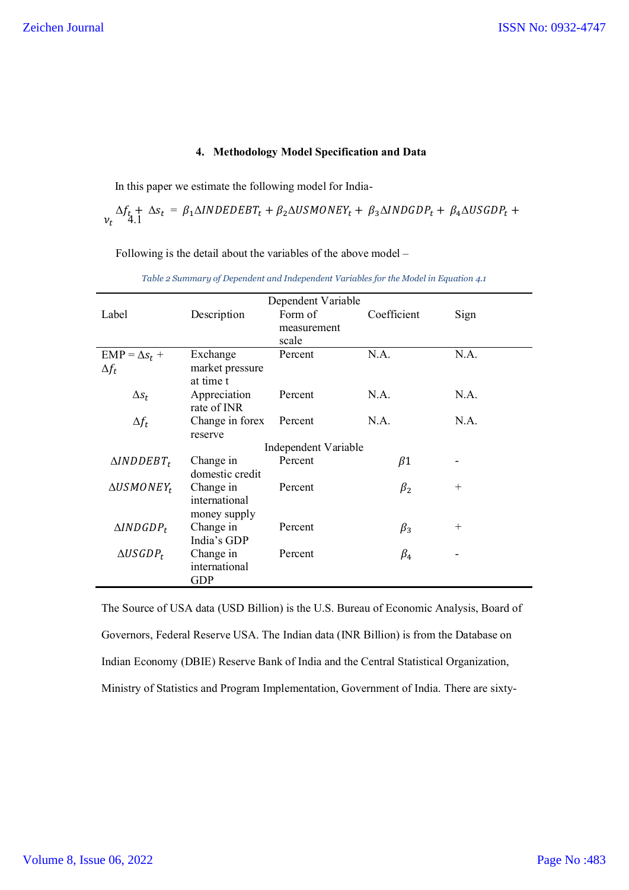## 4. Methodology Model Specification and Data

In this paper we estimate the following model for India-

$$
\Delta f_t + \Delta s_t = \beta_1 \Delta INDEDEBT_t + \beta_2 \Delta USMONEY_t + \beta_3 \Delta INDGDP_t + \beta_4 \Delta USGDP_t + \nu_t
$$

Following is the detail about the variables of the above model –

|                       |                 | Dependent Variable   |             |        |
|-----------------------|-----------------|----------------------|-------------|--------|
| Label                 | Description     | Form of              | Coefficient | Sign   |
|                       |                 | measurement          |             |        |
|                       |                 | scale                |             |        |
| $EMP = \Delta s_t$ +  | Exchange        | Percent              | N.A.        | N.A.   |
| $\Delta f_t$          | market pressure |                      |             |        |
|                       | at time t       |                      |             |        |
| $\Delta s_t$          | Appreciation    | Percent              | N.A.        | N.A.   |
|                       | rate of INR     |                      |             |        |
| $\Delta f_t$          | Change in forex | Percent              | N.A.        | N.A.   |
|                       | reserve         |                      |             |        |
|                       |                 | Independent Variable |             |        |
| $\triangle INDDEBT_t$ | Change in       | Percent              | $\beta$ 1   |        |
|                       | domestic credit |                      |             |        |
| $\triangle USMONEY_t$ | Change in       | Percent              | $\beta_2$   | $^{+}$ |
|                       | international   |                      |             |        |
|                       | money supply    |                      |             |        |
| $\triangle INDGDP_t$  | Change in       | Percent              | $\beta_3$   | $^{+}$ |
|                       | India's GDP     |                      |             |        |
| $\triangle USGDP_t$   | Change in       | Percent              | $\beta_4$   |        |
|                       | international   |                      |             |        |
|                       | GDP             |                      |             |        |

Table 2 Summary of Dependent and Independent Variables for the Model in Equation 4.1

The Source of USA data (USD Billion) is the U.S. Bureau of Economic Analysis, Board of Governors, Federal Reserve USA. The Indian data (INR Billion) is from the Database on Indian Economy (DBIE) Reserve Bank of India and the Central Statistical Organization, Ministry of Statistics and Program Implementation, Government of India. There are sixty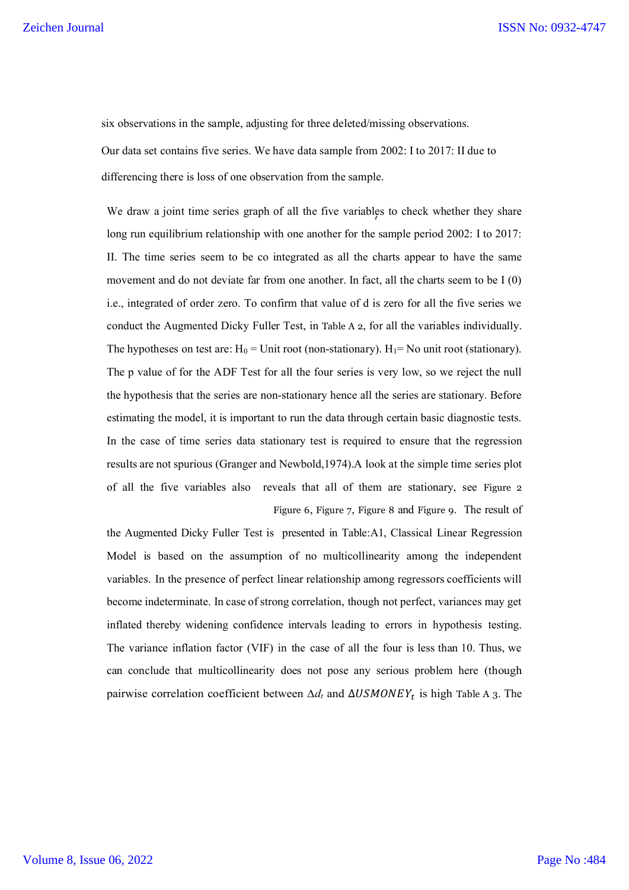six observations in the sample, adjusting for three deleted/missing observations.

Our data set contains five series. We have data sample from 2002: I to 2017: II due to

differencing there is loss of one observation from the sample.

We draw a joint time series graph of all the five variables to check whether they share long run equilibrium relationship with one another for the sample period 2002: I to 2017: II. The time series seem to be co integrated as all the charts appear to have the same movement and do not deviate far from one another. In fact, all the charts seem to be I (0) i.e., integrated of order zero. To confirm that value of d is zero for all the five series we conduct the Augmented Dicky Fuller Test, in Table A 2, for all the variables individually. The hypotheses on test are:  $H_0 =$  Unit root (non-stationary).  $H_1 =$  No unit root (stationary). The p value of for the ADF Test for all the four series is very low, so we reject the null the hypothesis that the series are non-stationary hence all the series are stationary. Before estimating the model, it is important to run the data through certain basic diagnostic tests. In the case of time series data stationary test is required to ensure that the regression results are not spurious (Granger and Newbold,1974).A look at the simple time series plot of all the five variables also reveals that all of them are stationary, see Figure 2 Figure 6, Figure 7, Figure 8 and Figure 9. The result of

the Augmented Dicky Fuller Test is presented in Table:A1, Classical Linear Regression Model is based on the assumption of no multicollinearity among the independent variables. In the presence of perfect linear relationship among regressors coefficients will become indeterminate. In case of strong correlation, though not perfect, variances may get inflated thereby widening confidence intervals leading to errors in hypothesis testing. The variance inflation factor (VIF) in the case of all the four is less than 10. Thus, we can conclude that multicollinearity does not pose any serious problem here (though pairwise correlation coefficient between  $\Delta d_t$  and  $\Delta USMONEY_t$  is high Table A 3. The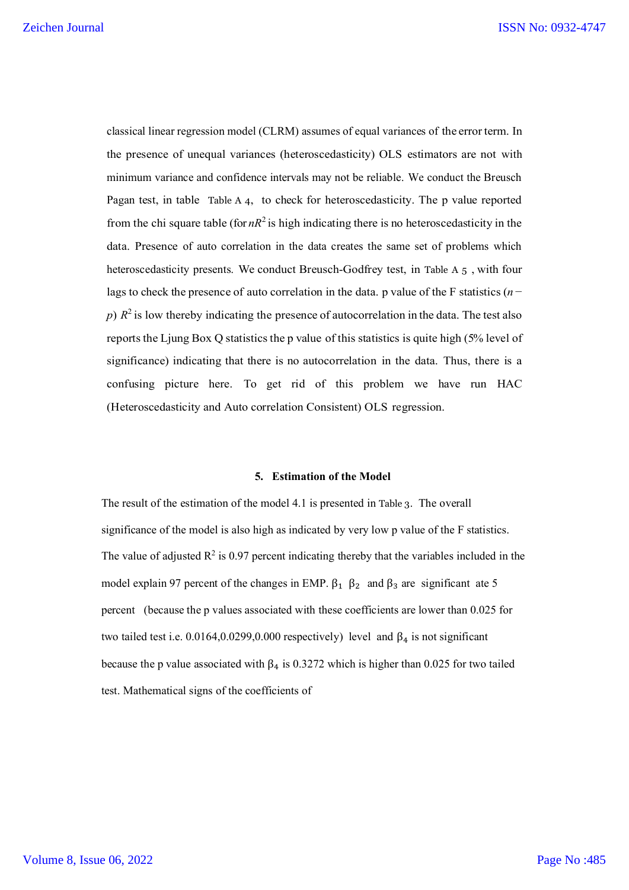classical linear regression model (CLRM) assumes of equal variances of the error term. In the presence of unequal variances (heteroscedasticity) OLS estimators are not with minimum variance and confidence intervals may not be reliable. We conduct the Breusch Pagan test, in table Table A 4, to check for heteroscedasticity. The p value reported from the chi square table (for  $nR^2$  is high indicating there is no heteroscedasticity in the data. Presence of auto correlation in the data creates the same set of problems which heteroscedasticity presents. We conduct Breusch-Godfrey test, in Table A 5 , with four lags to check the presence of auto correlation in the data. p value of the F statistics ( $n$ p)  $R^2$  is low thereby indicating the presence of autocorrelation in the data. The test also reports the Ljung Box Q statistics the p value of this statistics is quite high (5% level of significance) indicating that there is no autocorrelation in the data. Thus, there is a confusing picture here. To get rid of this problem we have run HAC (Heteroscedasticity and Auto correlation Consistent) OLS regression.

#### 5. Estimation of the Model

The result of the estimation of the model 4.1 is presented in Table 3. The overall significance of the model is also high as indicated by very low p value of the F statistics. The value of adjusted  $\mathbb{R}^2$  is 0.97 percent indicating thereby that the variables included in the model explain 97 percent of the changes in EMP.  $\beta_1$   $\beta_2$  and  $\beta_3$  are significant ate 5 percent (because the p values associated with these coefficients are lower than 0.025 for two tailed test i.e.  $0.0164, 0.0299, 0.000$  respectively) level and  $β<sub>4</sub>$  is not significant because the p value associated with  $\beta_4$  is 0.3272 which is higher than 0.025 for two tailed test. Mathematical signs of the coefficients of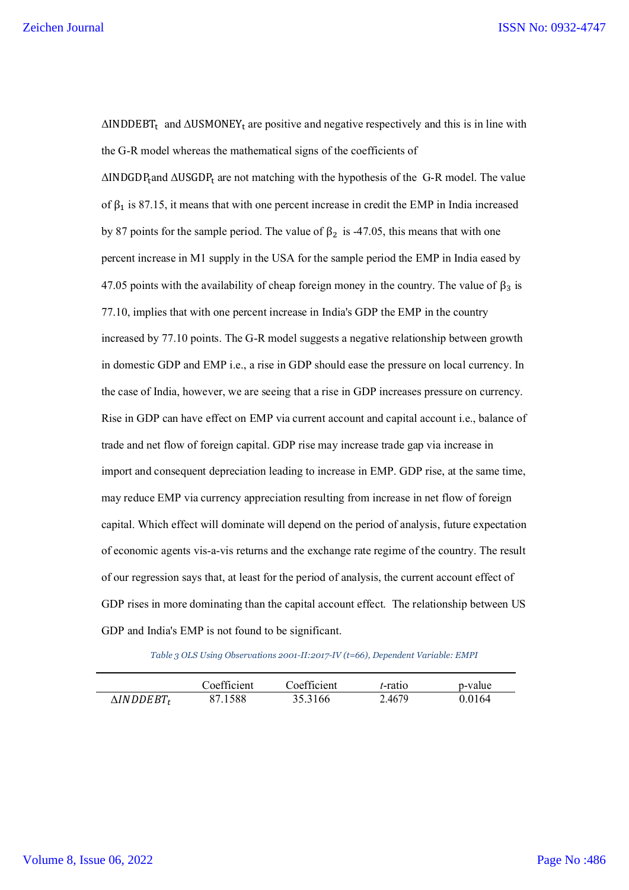ISSN No: 0932-4747

 $\Delta$ INDDEBT<sub>t</sub> and  $\Delta$ USMONEY<sub>t</sub> are positive and negative respectively and this is in line with the G-R model whereas the mathematical signs of the coefficients of  $\Delta$ INDGDP<sub>t</sub> and  $\Delta$ USGDP<sub>t</sub> are not matching with the hypothesis of the G-R model. The value of  $\beta_1$  is 87.15, it means that with one percent increase in credit the EMP in India increased by 87 points for the sample period. The value of  $\beta_2$  is -47.05, this means that with one percent increase in M1 supply in the USA for the sample period the EMP in India eased by 47.05 points with the availability of cheap foreign money in the country. The value of  $\beta_3$  is 77.10, implies that with one percent increase in India's GDP the EMP in the country increased by 77.10 points. The G-R model suggests a negative relationship between growth in domestic GDP and EMP i.e., a rise in GDP should ease the pressure on local currency. In the case of India, however, we are seeing that a rise in GDP increases pressure on currency. Rise in GDP can have effect on EMP via current account and capital account i.e., balance of trade and net flow of foreign capital. GDP rise may increase trade gap via increase in import and consequent depreciation leading to increase in EMP. GDP rise, at the same time, may reduce EMP via currency appreciation resulting from increase in net flow of foreign capital. Which effect will dominate will depend on the period of analysis, future expectation of economic agents vis-a-vis returns and the exchange rate regime of the country. The result of our regression says that, at least for the period of analysis, the current account effect of GDP rises in more dominating than the capital account effect. The relationship between US GDP and India's EMP is not found to be significant.

|                       | Coefficient | Coefficient | t-ratio | p-value |
|-----------------------|-------------|-------------|---------|---------|
| $\triangle INDDEBT_t$ | 87.1588     | 35.3166     | 2.4679  | 0.0164  |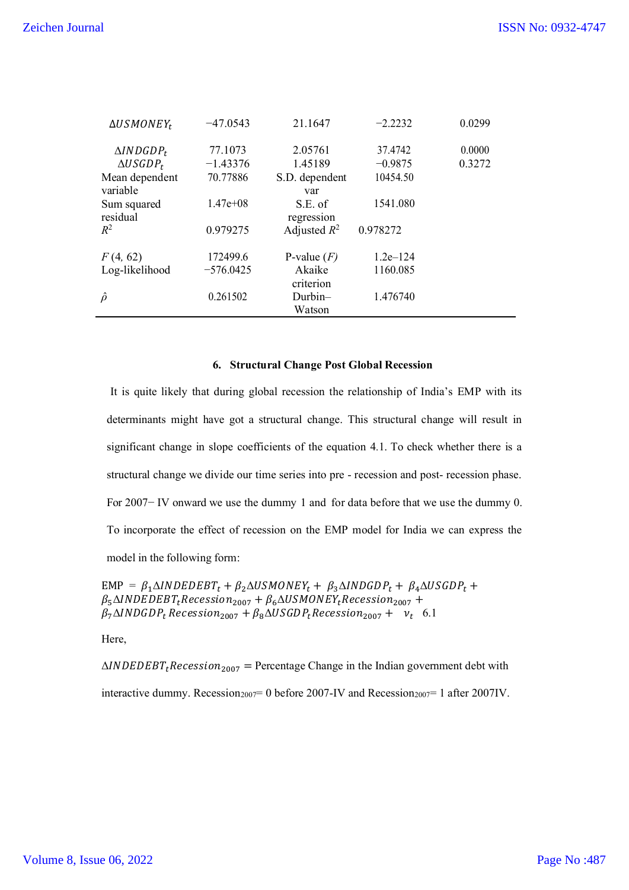| $\Delta USMONEY_t$   | $-47.0543$  | 21.1647        | $-2.2232$  | 0.0299 |
|----------------------|-------------|----------------|------------|--------|
| $\triangle INDGDP_t$ | 77.1073     | 2.05761        | 37.4742    | 0.0000 |
| $\triangle USGDP_t$  | $-1.43376$  | 1.45189        | $-0.9875$  | 0.3272 |
| Mean dependent       | 70.77886    | S.D. dependent | 10454.50   |        |
| variable             |             | var            |            |        |
| Sum squared          | $1.47e+08$  | S.E. of        | 1541.080   |        |
| residual             |             | regression     |            |        |
| $R^2$                | 0.979275    | Adjusted $R^2$ | 0.978272   |        |
| F(4, 62)             | 172499.6    | P-value $(F)$  | $1.2e-124$ |        |
| Log-likelihood       | $-576.0425$ | Akaike         | 1160.085   |        |
|                      |             | criterion      |            |        |
| $\hat{\rho}$         | 0.261502    | Durbin-        | 1.476740   |        |
|                      |             | Watson         |            |        |
|                      |             |                |            |        |

### 6. Structural Change Post Global Recession

 It is quite likely that during global recession the relationship of India's EMP with its determinants might have got a structural change. This structural change will result in significant change in slope coefficients of the equation 4.1. To check whether there is a structural change we divide our time series into pre - recession and post- recession phase. For 2007− IV onward we use the dummy 1 and for data before that we use the dummy 0. To incorporate the effect of recession on the EMP model for India we can express the model in the following form:

EMP =  $\beta_1 \Delta INDEDEBT_t + \beta_2 \Delta USMONEY_t + \beta_3 \Delta INDGDP_t + \beta_4 \Delta USGDP_t +$  $\beta_5 \Delta INDEDEBT_t Recession_{2007} + \beta_6 \Delta USMONEY_t Recession_{2007} +$  $\beta_7 \Delta INDGDP_t$  Recession<sub>2007</sub> +  $\beta_8 \Delta USGDP_t$  Recession<sub>2007</sub> +  $v_t$  6.1

Here,

 $\triangle INDEDEBT_t Recession_{2007}$  = Percentage Change in the Indian government debt with interactive dummy. Recession<sub>2007</sub> = 0 before 2007-IV and Recession<sub>2007</sub> = 1 after 2007IV.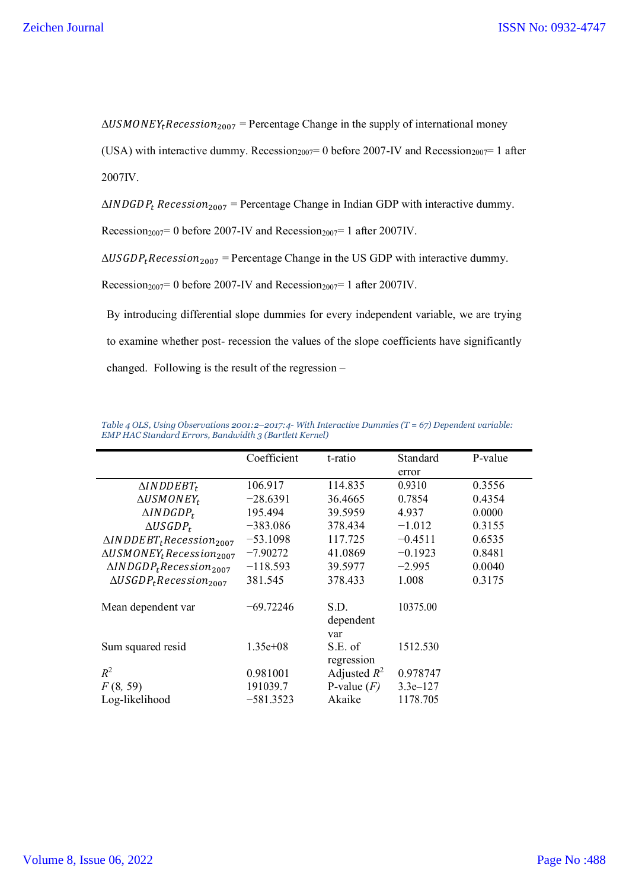$\Delta USMONEY<sub>t</sub> Recession<sub>2007</sub>$  = Percentage Change in the supply of international money

(USA) with interactive dummy. Recession<sub>2007</sub> = 0 before 2007-IV and Recession<sub>2007</sub> = 1 after 2007IV.

 $\triangle INDGDP_t Recession_{2007}$  = Percentage Change in Indian GDP with interactive dummy.

Recession<sub>2007</sub> = 0 before 2007-IV and Recession<sub>2007</sub> = 1 after 2007IV.

 $\Delta USGDP_t Recession_{2007}$  = Percentage Change in the US GDP with interactive dummy.

Recession<sub>2007</sub> = 0 before 2007-IV and Recession<sub>2007</sub> = 1 after 2007IV.

By introducing differential slope dummies for every independent variable, we are trying to examine whether post- recession the values of the slope coefficients have significantly changed. Following is the result of the regression –

|                                                             | Coefficient | t-ratio                  | Standard   | P-value |
|-------------------------------------------------------------|-------------|--------------------------|------------|---------|
|                                                             |             |                          | error      |         |
| $\triangle INDDEBT_t$                                       | 106.917     | 114.835                  | 0.9310     | 0.3556  |
| $\triangle USMONEY_t$                                       | $-28.6391$  | 36.4665                  | 0.7854     | 0.4354  |
| $\triangle INDGDP_t$                                        | 195.494     | 39.5959                  | 4.937      | 0.0000  |
| $\triangle USGDP_t$                                         | $-383.086$  | 378.434                  | $-1.012$   | 0.3155  |
| $\triangle INDDEBT_tRecession_{2007}$                       | $-53.1098$  | 117.725                  | $-0.4511$  | 0.6535  |
| $\Delta USMONEY_t Recession_{2007}$                         | $-7.90272$  | 41.0869                  | $-0.1923$  | 0.8481  |
| $\triangle INDGDP$ <sub>t</sub> $Recession$ <sub>2007</sub> | $-118.593$  | 39.5977                  | $-2.995$   | 0.0040  |
| $\Delta USGDP_t Recession_{2007}$                           | 381.545     | 378.433                  | 1.008      | 0.3175  |
| Mean dependent var                                          | $-69.72246$ | S.D.<br>dependent<br>var | 10375.00   |         |
| Sum squared resid                                           | $1.35e+08$  | S.E. of<br>regression    | 1512.530   |         |
| $R^2$                                                       | 0.981001    | Adjusted $R^2$           | 0.978747   |         |
| F(8, 59)                                                    | 191039.7    | P-value $(F)$            | $3.3e-127$ |         |
| Log-likelihood                                              | $-581.3523$ | Akaike                   | 1178.705   |         |

Table 4 OLS, Using Observations 2001:2–2017:4- With Interactive Dummies (T = 67) Dependent variable: EMP HAC Standard Errors, Bandwidth 3 (Bartlett Kernel)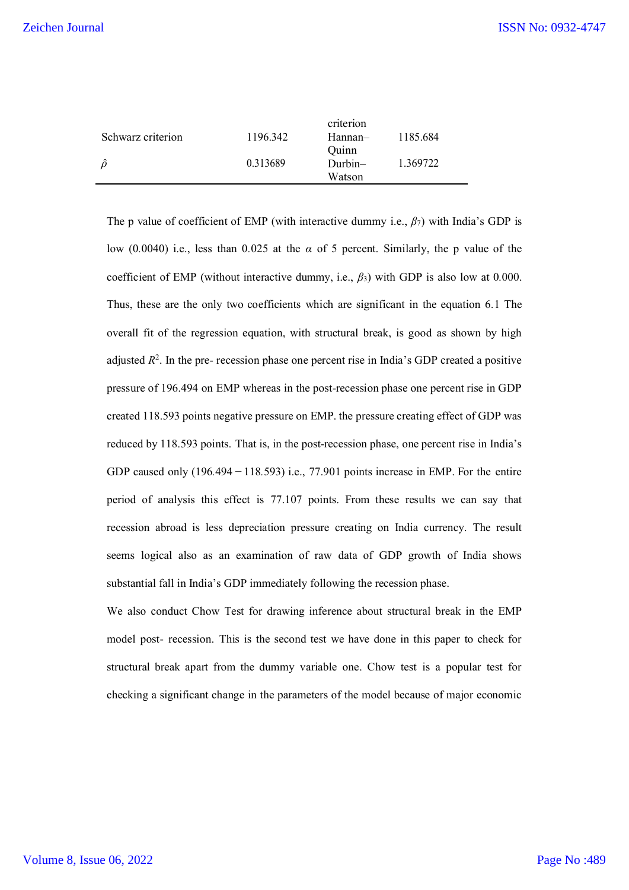|                   |          | criterion |          |
|-------------------|----------|-----------|----------|
| Schwarz criterion | 1196.342 | Hannan-   | 1185.684 |
|                   |          | Quinn     |          |
| $\hat{\rho}$      | 0.313689 | $Durbin-$ | 1.369722 |
|                   |          | Watson    |          |

The p value of coefficient of EMP (with interactive dummy i.e.,  $\beta_7$ ) with India's GDP is low (0.0040) i.e., less than 0.025 at the  $\alpha$  of 5 percent. Similarly, the p value of the coefficient of EMP (without interactive dummy, i.e.,  $\beta_3$ ) with GDP is also low at 0.000. Thus, these are the only two coefficients which are significant in the equation 6.1 The overall fit of the regression equation, with structural break, is good as shown by high adjusted  $R^2$ . In the pre- recession phase one percent rise in India's GDP created a positive pressure of 196.494 on EMP whereas in the post-recession phase one percent rise in GDP created 118.593 points negative pressure on EMP. the pressure creating effect of GDP was reduced by 118.593 points. That is, in the post-recession phase, one percent rise in India's GDP caused only (196.494 − 118.593) i.e., 77.901 points increase in EMP. For the entire period of analysis this effect is 77.107 points. From these results we can say that recession abroad is less depreciation pressure creating on India currency. The result seems logical also as an examination of raw data of GDP growth of India shows substantial fall in India's GDP immediately following the recession phase.

We also conduct Chow Test for drawing inference about structural break in the EMP model post- recession. This is the second test we have done in this paper to check for structural break apart from the dummy variable one. Chow test is a popular test for checking a significant change in the parameters of the model because of major economic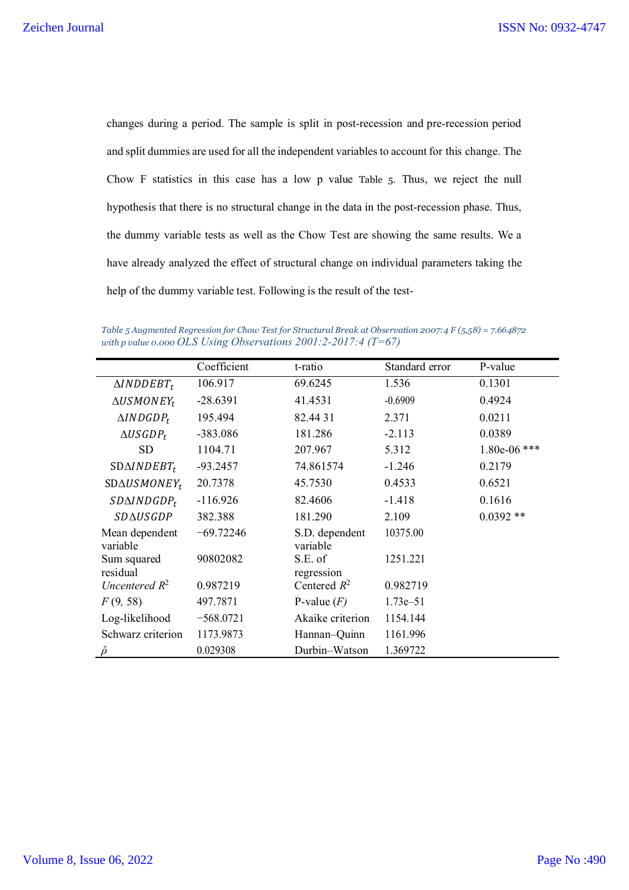changes during a period. The sample is split in post-recession and pre-recession period and split dummies are used for all the independent variables to account for this change. The Chow F statistics in this case has a low p value Table 5. Thus, we reject the null hypothesis that there is no structural change in the data in the post-recession phase. Thus, the dummy variable tests as well as the Chow Test are showing the same results. We a have already analyzed the effect of structural change on individual parameters taking the help of the dummy variable test. Following is the result of the test-

|                            | Coefficient | t-ratio                    | Standard error | P-value     |
|----------------------------|-------------|----------------------------|----------------|-------------|
| $\triangle INDDEBT_t$      | 106.917     | 69.6245                    | 1.536          | 0.1301      |
| $\triangle USMONEY_t$      | $-28.6391$  | 41.4531                    | $-0.6909$      | 0.4924      |
| $\triangle INDGDP_t$       | 195.494     | 82.4431                    | 2.371          | 0.0211      |
| $\triangle USGDP_t$        | -383.086    | 181.286                    | $-2.113$       | 0.0389      |
| SD.                        | 1104.71     | 207.967                    | 5.312          | 1.80e-06*** |
| $SD\Delta INDEBT_t$        | $-93.2457$  | 74.861574                  | $-1.246$       | 0.2179      |
| $SD\Delta USMONEY_t$       | 20.7378     | 45.7530                    | 0.4533         | 0.6521      |
| $SD\Delta INDGDP_t$        | $-116.926$  | 82.4606                    | $-1.418$       | 0.1616      |
| SDAUSGDP                   | 382.388     | 181.290                    | 2.109          | $0.0392**$  |
| Mean dependent<br>variable | $-69.72246$ | S.D. dependent<br>variable | 10375.00       |             |
| Sum squared<br>residual    | 90802082    | S.E. of<br>regression      | 1251.221       |             |
| Uncentered $R^2$           | 0.987219    | Centered $R^2$             | 0.982719       |             |
| F(9, 58)                   | 497.7871    | P-value $(F)$              | $1.73e - 51$   |             |
| Log-likelihood             | $-568.0721$ | Akaike criterion           | 1154.144       |             |
| Schwarz criterion          | 1173.9873   | Hannan-Quinn               | 1161.996       |             |
| $\hat{\rho}$               | 0.029308    | Durbin-Watson              | 1.369722       |             |

Table 5 Augmented Regression for Chow Test for Structural Break at Observation 2007:4  $F(5,58) = 7.664872$ with p value 0.000 OLS Using Observations  $2001:2-2017:4$  (T=67)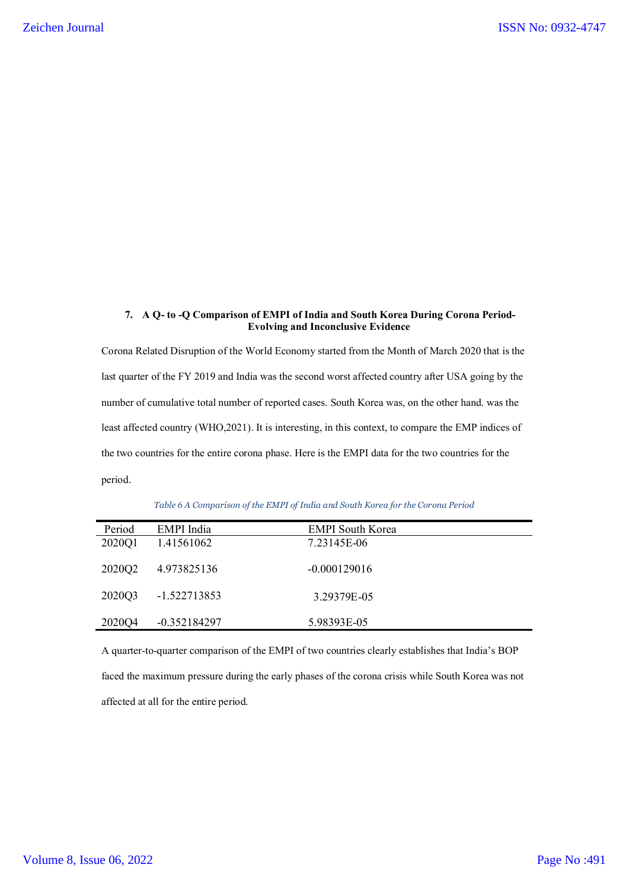### 7. A Q- to -Q Comparison of EMPI of India and South Korea During Corona Period-Evolving and Inconclusive Evidence

Corona Related Disruption of the World Economy started from the Month of March 2020 that is the last quarter of the FY 2019 and India was the second worst affected country after USA going by the number of cumulative total number of reported cases. South Korea was, on the other hand. was the least affected country (WHO,2021). It is interesting, in this context, to compare the EMP indices of the two countries for the entire corona phase. Here is the EMPI data for the two countries for the period.

| Period | EMPI India     | <b>EMPI South Korea</b> |
|--------|----------------|-------------------------|
| 2020Q1 | 1.41561062     | 7.23145E-06             |
|        |                |                         |
| 2020Q2 | 4.973825136    | $-0.000129016$          |
|        |                |                         |
| 2020Q3 | -1.522713853   | 3.29379E-05             |
|        |                |                         |
| 2020Q4 | $-0.352184297$ | 5.98393E-05             |

Table 6 A Comparison of the EMPI of India and South Korea for the Corona Period

A quarter-to-quarter comparison of the EMPI of two countries clearly establishes that India's BOP faced the maximum pressure during the early phases of the corona crisis while South Korea was not affected at all for the entire period.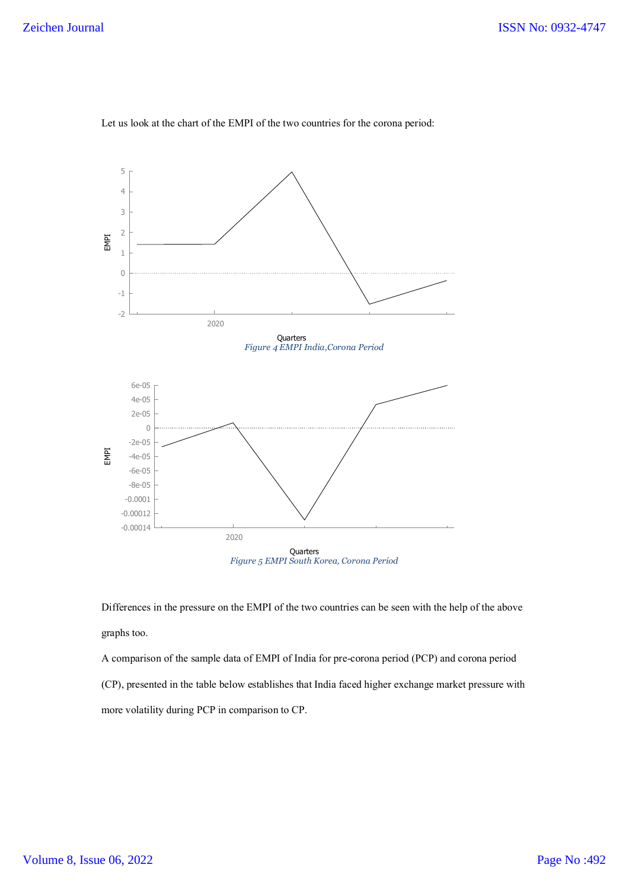

Let us look at the chart of the EMPI of the two countries for the corona period:

Differences in the pressure on the EMPI of the two countries can be seen with the help of the above graphs too.

A comparison of the sample data of EMPI of India for pre-corona period (PCP) and corona period (CP), presented in the table below establishes that India faced higher exchange market pressure with more volatility during PCP in comparison to CP.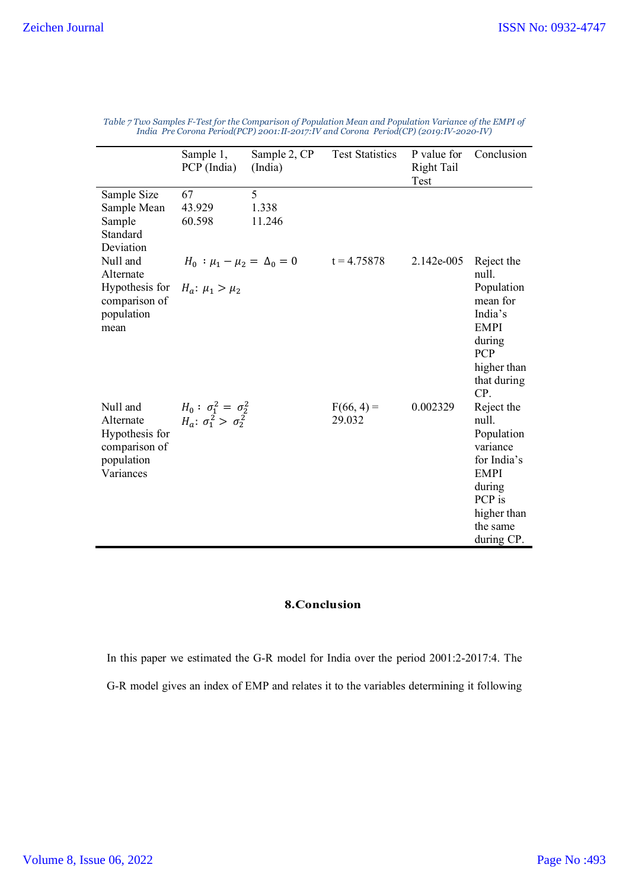|                                                                                     | Sample 1,<br>PCP (India)                                         | Sample 2, CP<br>(India) | <b>Test Statistics</b> | P value for<br><b>Right Tail</b><br>Test | Conclusion                                                                                                                                      |
|-------------------------------------------------------------------------------------|------------------------------------------------------------------|-------------------------|------------------------|------------------------------------------|-------------------------------------------------------------------------------------------------------------------------------------------------|
| Sample Size                                                                         | 67                                                               | 5                       |                        |                                          |                                                                                                                                                 |
| Sample Mean                                                                         | 43.929                                                           | 1.338                   |                        |                                          |                                                                                                                                                 |
| Sample<br>Standard                                                                  | 60.598                                                           | 11.246                  |                        |                                          |                                                                                                                                                 |
| Deviation                                                                           |                                                                  |                         |                        |                                          |                                                                                                                                                 |
| Null and<br>Alternate                                                               | $H_0$ : $\mu_1 - \mu_2 = \Delta_0 = 0$                           |                         | $t = 4.75878$          | 2.142e-005                               | Reject the<br>null.                                                                                                                             |
| Hypothesis for<br>comparison of<br>population<br>mean                               | $H_a: \mu_1 > \mu_2$                                             |                         |                        |                                          | Population<br>mean for<br>India's<br><b>EMPI</b><br>during<br><b>PCP</b><br>higher than<br>that during                                          |
| Null and<br>Alternate<br>Hypothesis for<br>comparison of<br>population<br>Variances | $H_0: \sigma_1^2 = \sigma_2^2$<br>$H_a: \sigma_1^2 > \sigma_2^2$ |                         | $F(66, 4) =$<br>29.032 | 0.002329                                 | CP.<br>Reject the<br>null.<br>Population<br>variance<br>for India's<br><b>EMPI</b><br>during<br>PCP is<br>higher than<br>the same<br>during CP. |

Table 7 Two Samples F-Test for the Comparison of Population Mean and Population Variance of the EMPI of India Pre Corona Period(PCP) 2001:II-2017:IV and Corona Period(CP) (2019:IV-2020-IV)

# 8.Conclusion

In this paper we estimated the G-R model for India over the period 2001:2-2017:4. The

G-R model gives an index of EMP and relates it to the variables determining it following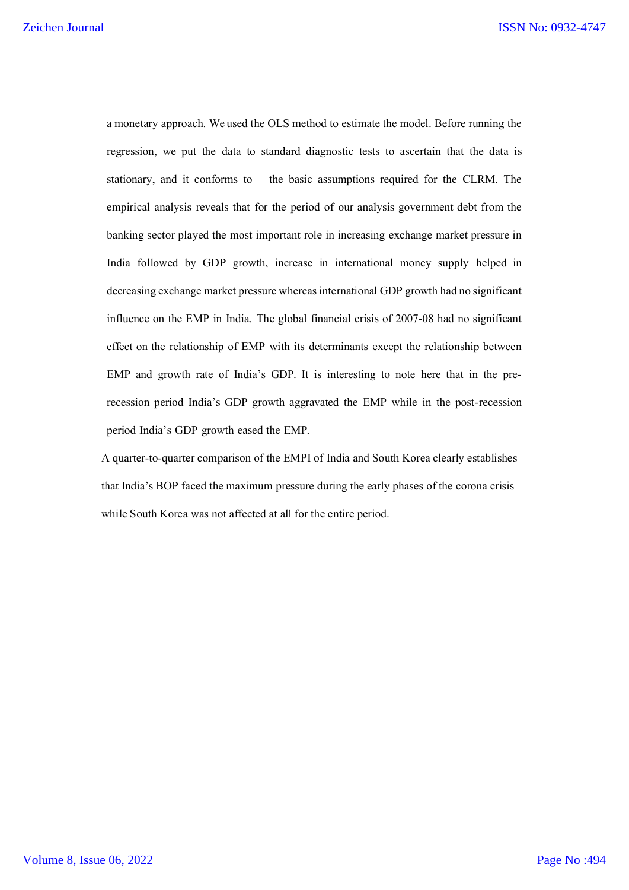a monetary approach. We used the OLS method to estimate the model. Before running the regression, we put the data to standard diagnostic tests to ascertain that the data is stationary, and it conforms to the basic assumptions required for the CLRM. The empirical analysis reveals that for the period of our analysis government debt from the banking sector played the most important role in increasing exchange market pressure in India followed by GDP growth, increase in international money supply helped in decreasing exchange market pressure whereas international GDP growth had no significant influence on the EMP in India. The global financial crisis of 2007-08 had no significant effect on the relationship of EMP with its determinants except the relationship between EMP and growth rate of India's GDP. It is interesting to note here that in the prerecession period India's GDP growth aggravated the EMP while in the post-recession period India's GDP growth eased the EMP.

A quarter-to-quarter comparison of the EMPI of India and South Korea clearly establishes that India's BOP faced the maximum pressure during the early phases of the corona crisis while South Korea was not affected at all for the entire period.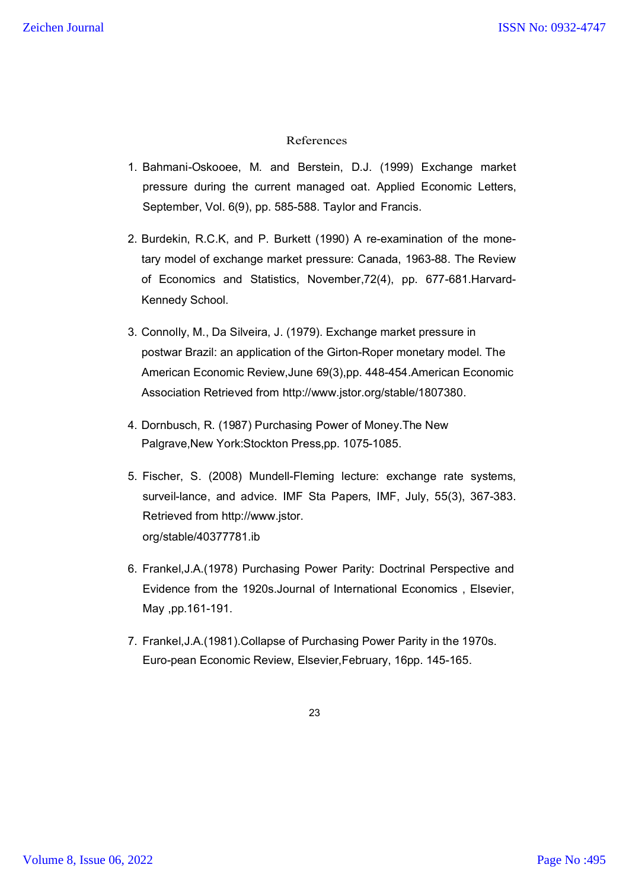## References

- 1. Bahmani-Oskooee, M. and Berstein, D.J. (1999) Exchange market pressure during the current managed oat. Applied Economic Letters, September, Vol. 6(9), pp. 585-588. Taylor and Francis.
- 2. Burdekin, R.C.K, and P. Burkett (1990) A re-examination of the monetary model of exchange market pressure: Canada, 1963-88. The Review of Economics and Statistics, November,72(4), pp. 677-681.Harvard-Kennedy School.
- 3. Connolly, M., Da Silveira, J. (1979). Exchange market pressure in postwar Brazil: an application of the Girton-Roper monetary model. The American Economic Review,June 69(3),pp. 448-454.American Economic Association Retrieved from http://www.jstor.org/stable/1807380.
- 4. Dornbusch, R. (1987) Purchasing Power of Money.The New Palgrave,New York:Stockton Press,pp. 1075-1085.
- 5. Fischer, S. (2008) Mundell-Fleming lecture: exchange rate systems, surveil-lance, and advice. IMF Sta Papers, IMF, July, 55(3), 367-383. Retrieved from http://www.jstor. org/stable/40377781.ib
- 6. Frankel,J.A.(1978) Purchasing Power Parity: Doctrinal Perspective and Evidence from the 1920s.Journal of International Economics , Elsevier, May ,pp.161-191.
- 7. Frankel,J.A.(1981).Collapse of Purchasing Power Parity in the 1970s. Euro-pean Economic Review, Elsevier,February, 16pp. 145-165.

23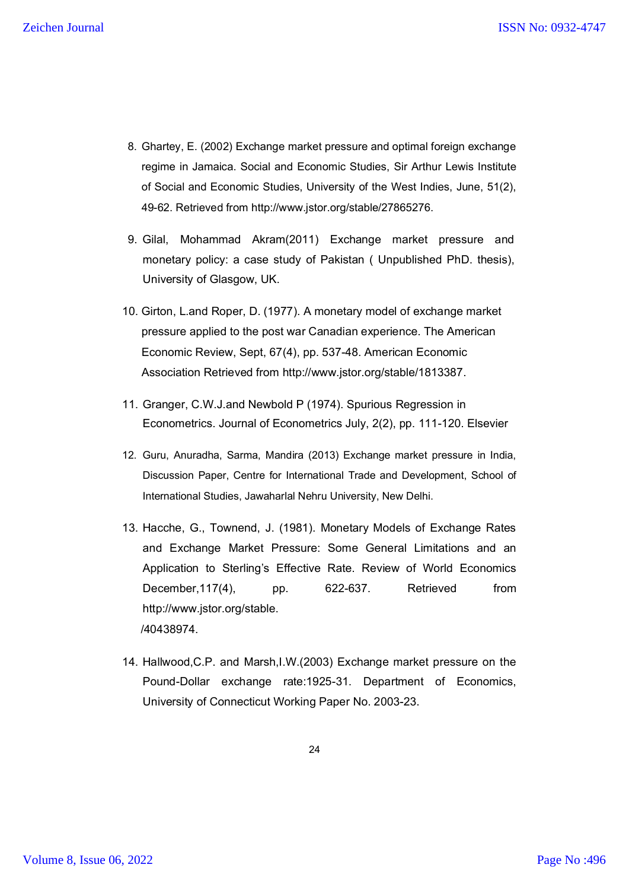- 8. Ghartey, E. (2002) Exchange market pressure and optimal foreign exchange regime in Jamaica. Social and Economic Studies, Sir Arthur Lewis Institute of Social and Economic Studies, University of the West Indies, June, 51(2), 49-62. Retrieved from http://www.jstor.org/stable/27865276.
- 9. Gilal, Mohammad Akram(2011) Exchange market pressure and monetary policy: a case study of Pakistan ( Unpublished PhD. thesis), University of Glasgow, UK.
- 10. Girton, L.and Roper, D. (1977). A monetary model of exchange market pressure applied to the post war Canadian experience. The American Economic Review, Sept, 67(4), pp. 537-48. American Economic Association Retrieved from http://www.jstor.org/stable/1813387.
- 11. Granger, C.W.J.and Newbold P (1974). Spurious Regression in Econometrics. Journal of Econometrics July, 2(2), pp. 111-120. Elsevier
- 12. Guru, Anuradha, Sarma, Mandira (2013) Exchange market pressure in India, Discussion Paper, Centre for International Trade and Development, School of International Studies, Jawaharlal Nehru University, New Delhi.
- 13. Hacche, G., Townend, J. (1981). Monetary Models of Exchange Rates and Exchange Market Pressure: Some General Limitations and an Application to Sterling's Effective Rate. Review of World Economics December, 117(4), pp. 622-637. Retrieved from http://www.jstor.org/stable. /40438974.
- 14. Hallwood,C.P. and Marsh,I.W.(2003) Exchange market pressure on the Pound-Dollar exchange rate:1925-31. Department of Economics, University of Connecticut Working Paper No. 2003-23.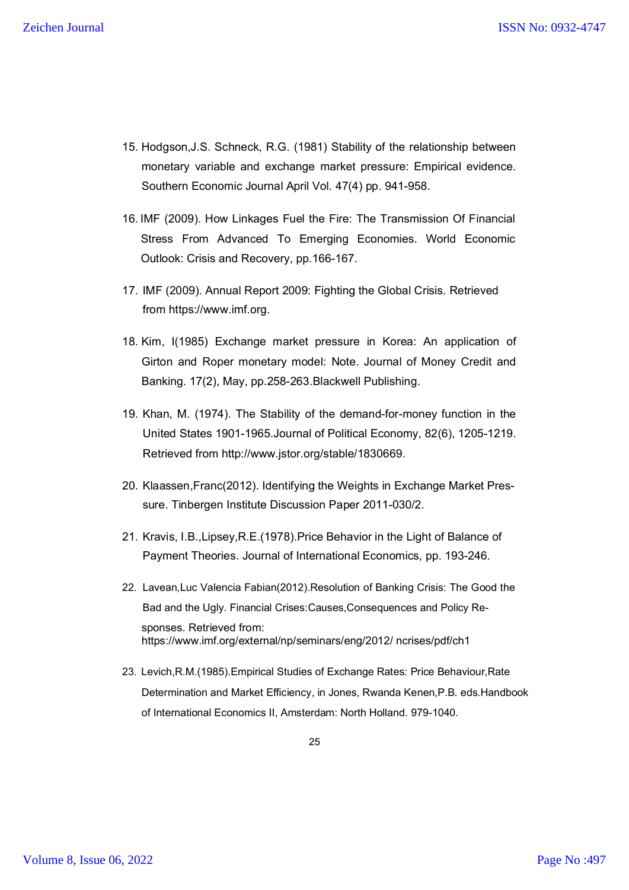- 15. Hodgson,J.S. Schneck, R.G. (1981) Stability of the relationship between monetary variable and exchange market pressure: Empirical evidence. Southern Economic Journal April Vol. 47(4) pp. 941-958.
- 16. IMF (2009). How Linkages Fuel the Fire: The Transmission Of Financial Stress From Advanced To Emerging Economies. World Economic Outlook: Crisis and Recovery, pp.166-167.
- 17. IMF (2009). Annual Report 2009: Fighting the Global Crisis. Retrieved from https://www.imf.org.
- 18. Kim, I(1985) Exchange market pressure in Korea: An application of Girton and Roper monetary model: Note. Journal of Money Credit and Banking. 17(2), May, pp.258-263.Blackwell Publishing.
- 19. Khan, M. (1974). The Stability of the demand-for-money function in the United States 1901-1965.Journal of Political Economy, 82(6), 1205-1219. Retrieved from http://www.jstor.org/stable/1830669.
- 20. Klaassen,Franc(2012). Identifying the Weights in Exchange Market Pressure. Tinbergen Institute Discussion Paper 2011-030/2.
- 21. Kravis, I.B.,Lipsey,R.E.(1978).Price Behavior in the Light of Balance of Payment Theories. Journal of International Economics, pp. 193-246.
- 22. Lavean,Luc Valencia Fabian(2012).Resolution of Banking Crisis: The Good the Bad and the Ugly. Financial Crises:Causes,Consequences and Policy Responses. Retrieved from: https://www.imf.org/external/np/seminars/eng/2012/ ncrises/pdf/ch1
- 23. Levich,R.M.(1985).Empirical Studies of Exchange Rates: Price Behaviour,Rate Determination and Market Efficiency, in Jones, Rwanda Kenen,P.B. eds.Handbook of International Economics II, Amsterdam: North Holland. 979-1040.

25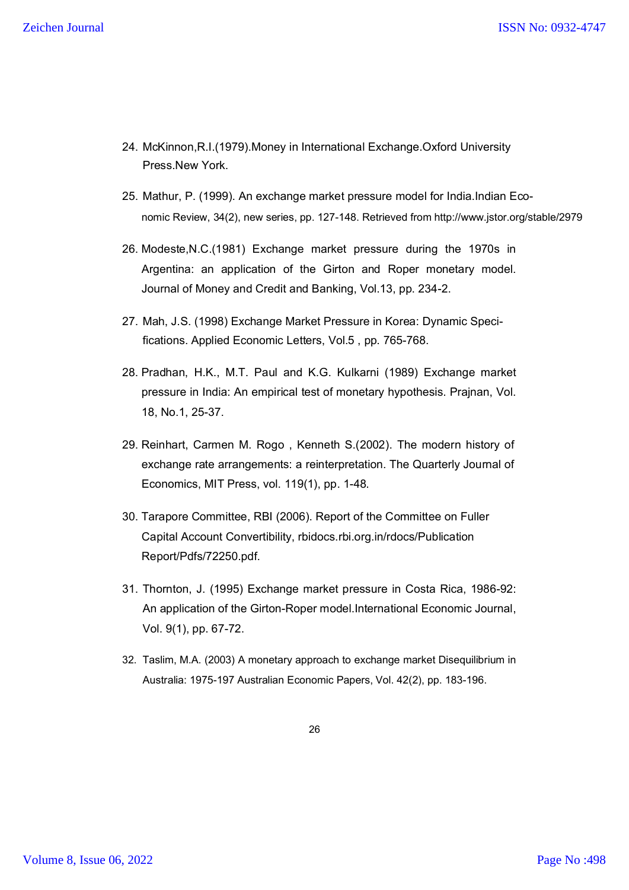- 24. McKinnon,R.I.(1979).Money in International Exchange.Oxford University Press.New York.
- 25. Mathur, P. (1999). An exchange market pressure model for India.Indian Economic Review, 34(2), new series, pp. 127-148. Retrieved from http://www.jstor.org/stable/2979
- 26. Modeste,N.C.(1981) Exchange market pressure during the 1970s in Argentina: an application of the Girton and Roper monetary model. Journal of Money and Credit and Banking, Vol.13, pp. 234-2.
- 27. Mah, J.S. (1998) Exchange Market Pressure in Korea: Dynamic Specifications. Applied Economic Letters, Vol.5 , pp. 765-768.
- 28. Pradhan, H.K., M.T. Paul and K.G. Kulkarni (1989) Exchange market pressure in India: An empirical test of monetary hypothesis. Prajnan, Vol. 18, No.1, 25-37.
- 29. Reinhart, Carmen M. Rogo , Kenneth S.(2002). The modern history of exchange rate arrangements: a reinterpretation. The Quarterly Journal of Economics, MIT Press, vol. 119(1), pp. 1-48.
- 30. Tarapore Committee, RBI (2006). Report of the Committee on Fuller Capital Account Convertibility, rbidocs.rbi.org.in/rdocs/Publication Report/Pdfs/72250.pdf.
- 31. Thornton, J. (1995) Exchange market pressure in Costa Rica, 1986-92: An application of the Girton-Roper model.International Economic Journal, Vol. 9(1), pp. 67-72.
- 32. Taslim, M.A. (2003) A monetary approach to exchange market Disequilibrium in Australia: 1975-197 Australian Economic Papers, Vol. 42(2), pp. 183-196.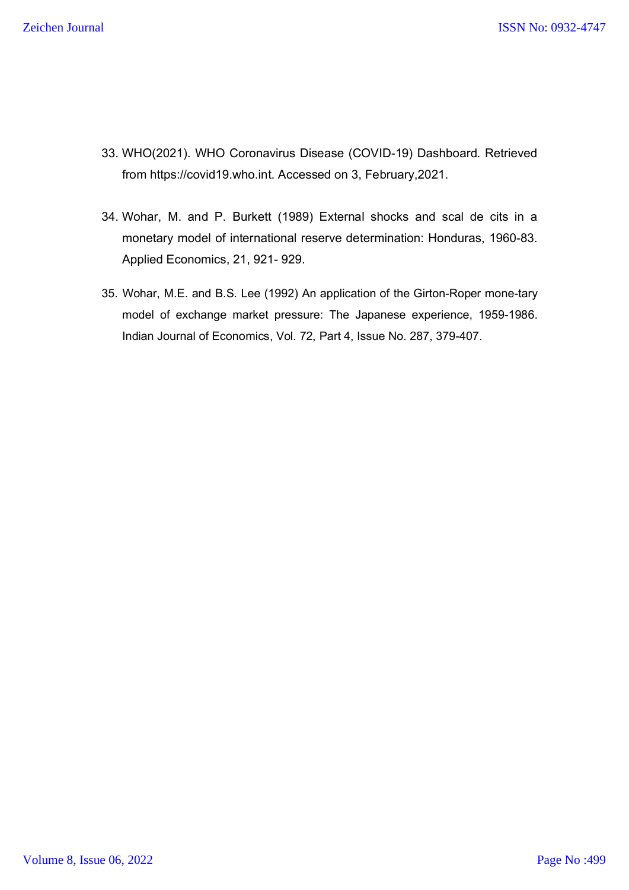- 33. WHO(2021). WHO Coronavirus Disease (COVID-19) Dashboard. Retrieved from https://covid19.who.int. Accessed on 3, February,2021.
- 34. Wohar, M. and P. Burkett (1989) External shocks and scal de cits in a monetary model of international reserve determination: Honduras, 1960-83. Applied Economics, 21, 921- 929.
- 35. Wohar, M.E. and B.S. Lee (1992) An application of the Girton-Roper mone-tary model of exchange market pressure: The Japanese experience, 1959-1986. Indian Journal of Economics, Vol. 72, Part 4, Issue No. 287, 379-407.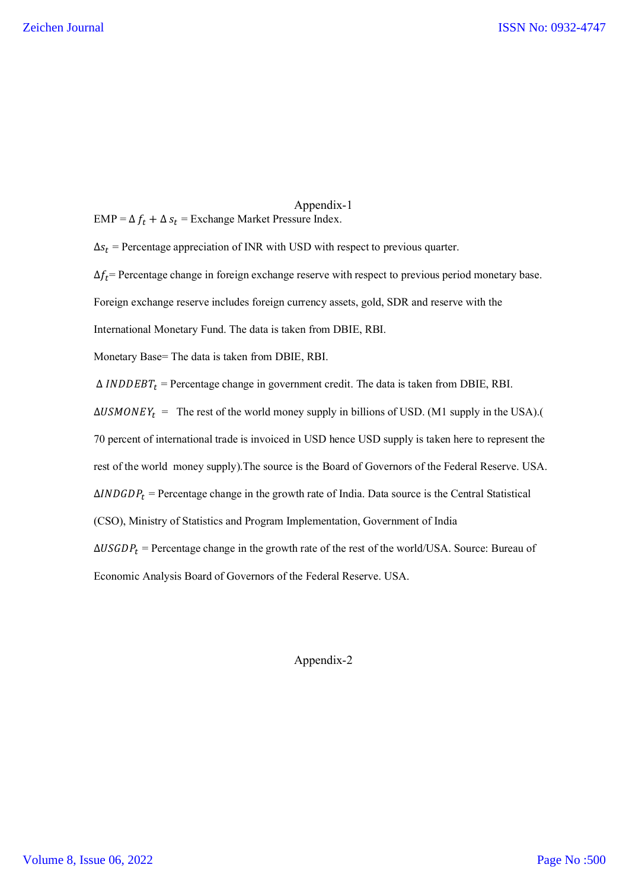### Appendix-1

 $EMP = \Delta f_t + \Delta s_t$  = Exchange Market Pressure Index.

 $\Delta s_t$  = Percentage appreciation of INR with USD with respect to previous quarter.

 $\Delta f_t$ = Percentage change in foreign exchange reserve with respect to previous period monetary base.

Foreign exchange reserve includes foreign currency assets, gold, SDR and reserve with the

International Monetary Fund. The data is taken from DBIE, RBI.

Monetary Base= The data is taken from DBIE, RBI.

 $\triangle$  *INDDEBT*<sub>t</sub> = Percentage change in government credit. The data is taken from DBIE, RBI.

 $\Delta USMONEY_t$  = The rest of the world money supply in billions of USD. (M1 supply in the USA).

70 percent of international trade is invoiced in USD hence USD supply is taken here to represent the

rest of the world money supply).The source is the Board of Governors of the Federal Reserve. USA.

 $\Delta INDGDP_t$  = Percentage change in the growth rate of India. Data source is the Central Statistical

(CSO), Ministry of Statistics and Program Implementation, Government of India

 $\Delta USGDP_t$  = Percentage change in the growth rate of the rest of the world/USA. Source: Bureau of

Economic Analysis Board of Governors of the Federal Reserve. USA.

## Appendix-2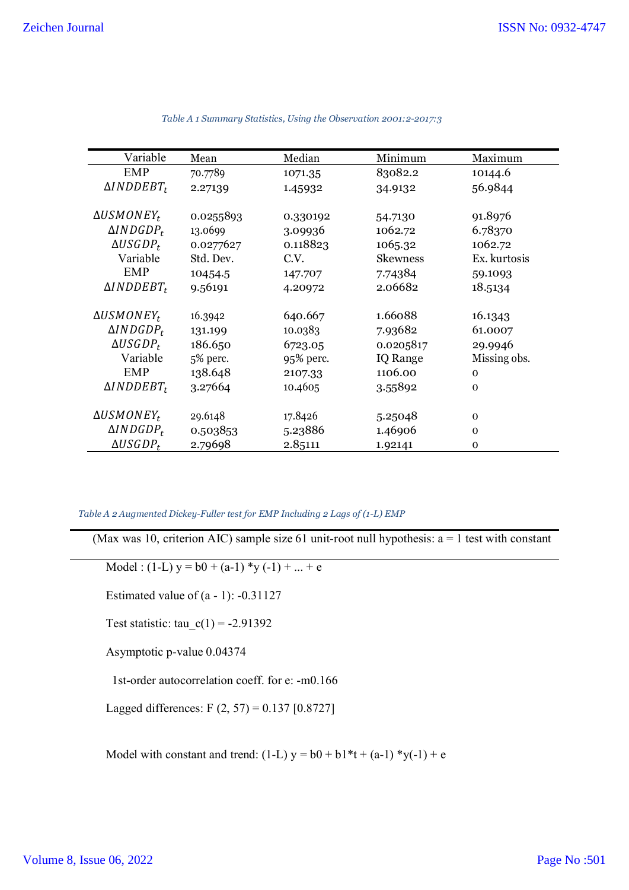| Variable              | Mean        | Median    | Minimum         | Maximum      |
|-----------------------|-------------|-----------|-----------------|--------------|
| <b>EMP</b>            | 70.7789     | 1071.35   | 83082.2         | 10144.6      |
| $\triangle INDDEBT_t$ | 2.27139     | 1.45932   | 34.9132         | 56.9844      |
|                       |             |           |                 |              |
| $\Delta USMONEY_t$    | 0.0255893   | 0.330192  | 54.7130         | 91.8976      |
| $\triangle INDGDP_t$  | 13.0699     | 3.09936   | 1062.72         | 6.78370      |
| $\Delta USGDP_t$      | 0.0277627   | 0.118823  | 1065.32         | 1062.72      |
| Variable              | Std. Dev.   | C.V.      | <b>Skewness</b> | Ex. kurtosis |
| <b>EMP</b>            | 10454.5     | 147.707   | 7.74384         | 59.1093      |
| $\triangle INDDEBT_t$ | 9.56191     | 4.20972   | 2.06682         | 18.5134      |
|                       |             |           |                 |              |
| $\Delta USMONEY_t$    | 16.3942     | 640.667   | 1.66088         | 16.1343      |
| $\triangle INDGDP_t$  | 131.199     | 10.0383   | 7.93682         | 61.0007      |
| $\triangle USGDP_t$   | 186.650     | 6723.05   | 0.0205817       | 29.9946      |
| Variable              | $5\%$ perc. | 95% perc. | <b>IQ</b> Range | Missing obs. |
| <b>EMP</b>            | 138.648     | 2107.33   | 1106.00         | $\mathbf{0}$ |
| $\triangle INDDEBT_t$ | 3.27664     | 10.4605   | 3.55892         | $\mathbf{0}$ |
|                       |             |           |                 |              |
| $\Delta USMONEY_t$    | 29.6148     | 17.8426   | 5.25048         | $\mathbf{0}$ |
| $\triangle INDGDP_t$  | 0.503853    | 5.23886   | 1.46906         | $\Omega$     |
| $\Delta USGDP_t$      | 2.79698     | 2.85111   | 1.92141         | 0            |

Table A 1 Summary Statistics, Using the Observation 2001:2-2017:3

# Table A 2 Augmented Dickey-Fuller test for EMP Including 2 Lags of (1-L) EMP

(Max was 10, criterion AIC) sample size 61 unit-root null hypothesis:  $a = 1$  test with constant

Model :  $(1-L)$  y = b0 +  $(a-1)$  \*y  $(-1)$  + ... + e

Estimated value of  $(a - 1)$ :  $-0.31127$ 

Test statistic: tau  $c(1) = -2.91392$ 

Asymptotic p-value 0.04374

1st-order autocorrelation coeff. for e: -m0.166

Lagged differences: F (2, 57) = 0.137 [0.8727]

Model with constant and trend:  $(1-L)$  y = b0 + b1\*t + (a-1) \*y(-1) + e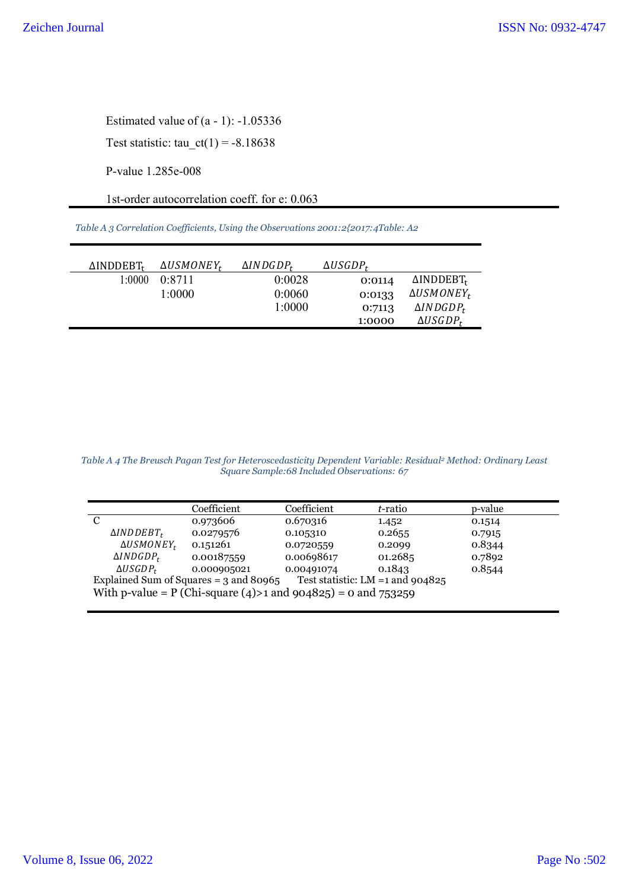Estimated value of  $(a - 1)$ :  $-1.05336$ Test statistic: tau\_ct(1) =  $-8.18638$ 

P-value 1.285e-008

1st-order autocorrelation coeff. for e: 0.063

Table A 3 Correlation Coefficients, Using the Observations 2001:2{2017:4Table: A2

| <b><i>AINDDEBT.</i></b> | $\Delta USMONEY_t$ | $\Delta INDGDP_t$ | $\Delta USGDP_t$ |                               |
|-------------------------|--------------------|-------------------|------------------|-------------------------------|
| 1:0000                  | 0:8711             | 0:0028            | 0:0114           | $\Delta$ INDDEBT <sub>t</sub> |
|                         | 1:0000             | 0:0060            | 0:0133           | $\Delta USMONEY_t$            |
|                         |                    | 1:0000            | 0:7113           | $\triangle INDGDP_t$          |
|                         |                    |                   | 1:0000           | $\Delta USGDP_t$              |

Table A 4 The Breusch Pagan Test for Heteroscedasticity Dependent Variable: Residual<sup>2</sup> Method: Ordinary Least Square Sample:68 Included Observations: 67

|                                                                                 | Coefficient | Coefficient | t-ratio | p-value |  |  |
|---------------------------------------------------------------------------------|-------------|-------------|---------|---------|--|--|
| C                                                                               | 0.973606    | 0.670316    | 1.452   | 0.1514  |  |  |
| $\triangle INDDEBT_t$                                                           | 0.0279576   | 0.105310    | 0.2655  | 0.7915  |  |  |
| $\Delta USMONEY_t$                                                              | 0.151261    | 0.0720559   | 0.2099  | 0.8344  |  |  |
| $\triangle INDGDP_t$                                                            | 0.00187559  | 0.00698617  | 01.2685 | 0.7892  |  |  |
| $\triangle USGDP_t$                                                             | 0.000905021 | 0.00491074  | 0.1843  | 0.8544  |  |  |
| Test statistic: LM = $1$ and 904825<br>Explained Sum of Squares = $3$ and 80965 |             |             |         |         |  |  |
| With p-value = P (Chi-square $(4)$ >1 and 904825) = 0 and 753259                |             |             |         |         |  |  |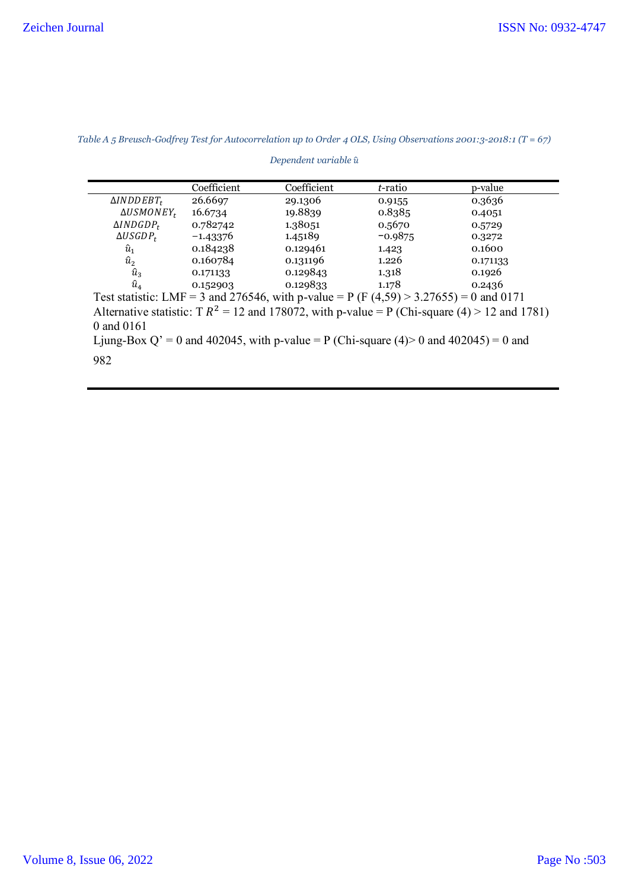|                                                                                                 | Coefficient | Coefficient | t-ratio   | p-value  |  |  |  |
|-------------------------------------------------------------------------------------------------|-------------|-------------|-----------|----------|--|--|--|
| $\triangle INDDEBT_t$                                                                           | 26.6697     | 29.1306     | 0.9155    | 0.3636   |  |  |  |
| $\Delta USMONEY_t$                                                                              | 16.6734     | 19.8839     | 0.8385    | 0.4051   |  |  |  |
| $\triangle INDGDP_t$                                                                            | 0.782742    | 1.38051     | 0.5670    | 0.5729   |  |  |  |
| $\triangle USGDP_t$                                                                             | $-1.43376$  | 1.45189     | $-0.9875$ | 0.3272   |  |  |  |
| $\hat{u}_1$                                                                                     | 0.184238    | 0.129461    | 1.423     | 0.1600   |  |  |  |
| $\hat{u}_2$                                                                                     | 0.160784    | 0.131196    | 1.226     | 0.171133 |  |  |  |
| $\hat{u}_3$                                                                                     | 0.171133    | 0.129843    | 1.318     | 0.1926   |  |  |  |
| $\hat{u}_4$                                                                                     | 0.152903    | 0.129833    | 1.178     | 0.2436   |  |  |  |
| Test statistic: LMF = 3 and 276546, with p-value = P (F $(4,59)$ > 3.27655) = 0 and 0171        |             |             |           |          |  |  |  |
| Alternative statistic: T $R^2 = 12$ and 178072, with p-value = P (Chi-square (4) > 12 and 1781) |             |             |           |          |  |  |  |
| 0 and 0161                                                                                      |             |             |           |          |  |  |  |
| Ljung-Box Q' = 0 and 402045, with p-value = P (Chi-square $(4)$ > 0 and 402045) = 0 and         |             |             |           |          |  |  |  |
| 982                                                                                             |             |             |           |          |  |  |  |

Table A 5 Breusch-Godfrey Test for Autocorrelation up to Order 4 OLS, Using Observations 2001:3-2018:1 (T = 67)

Dependent variable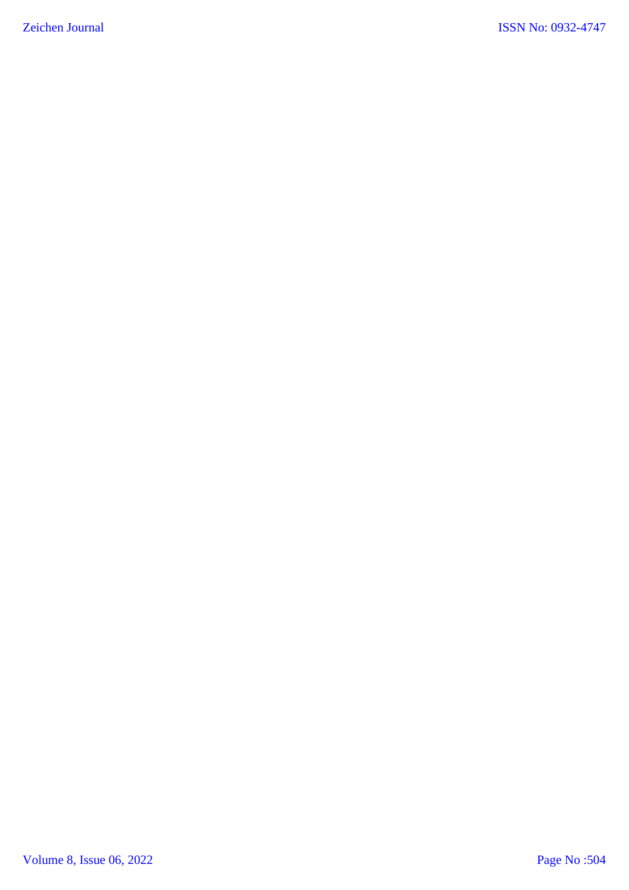Zeichen Journal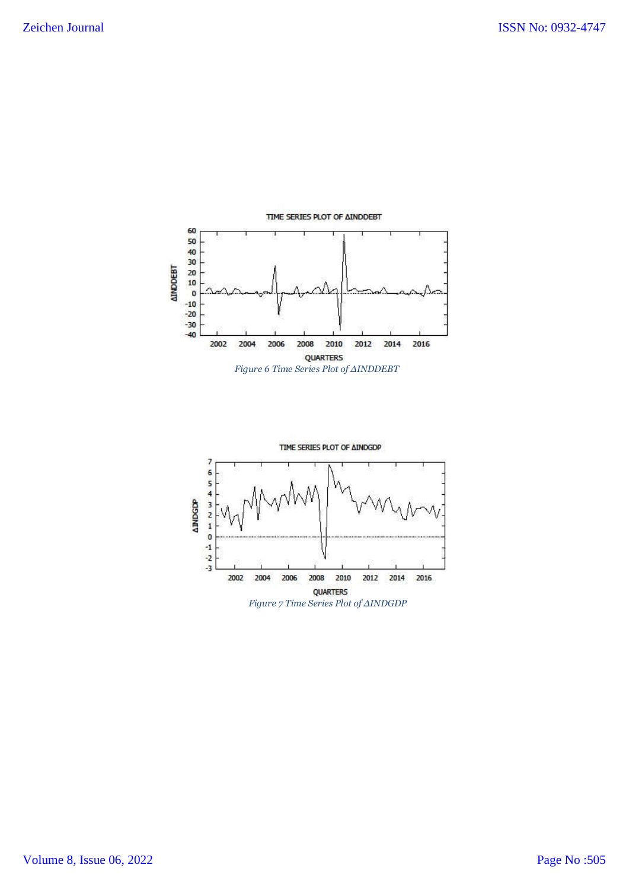